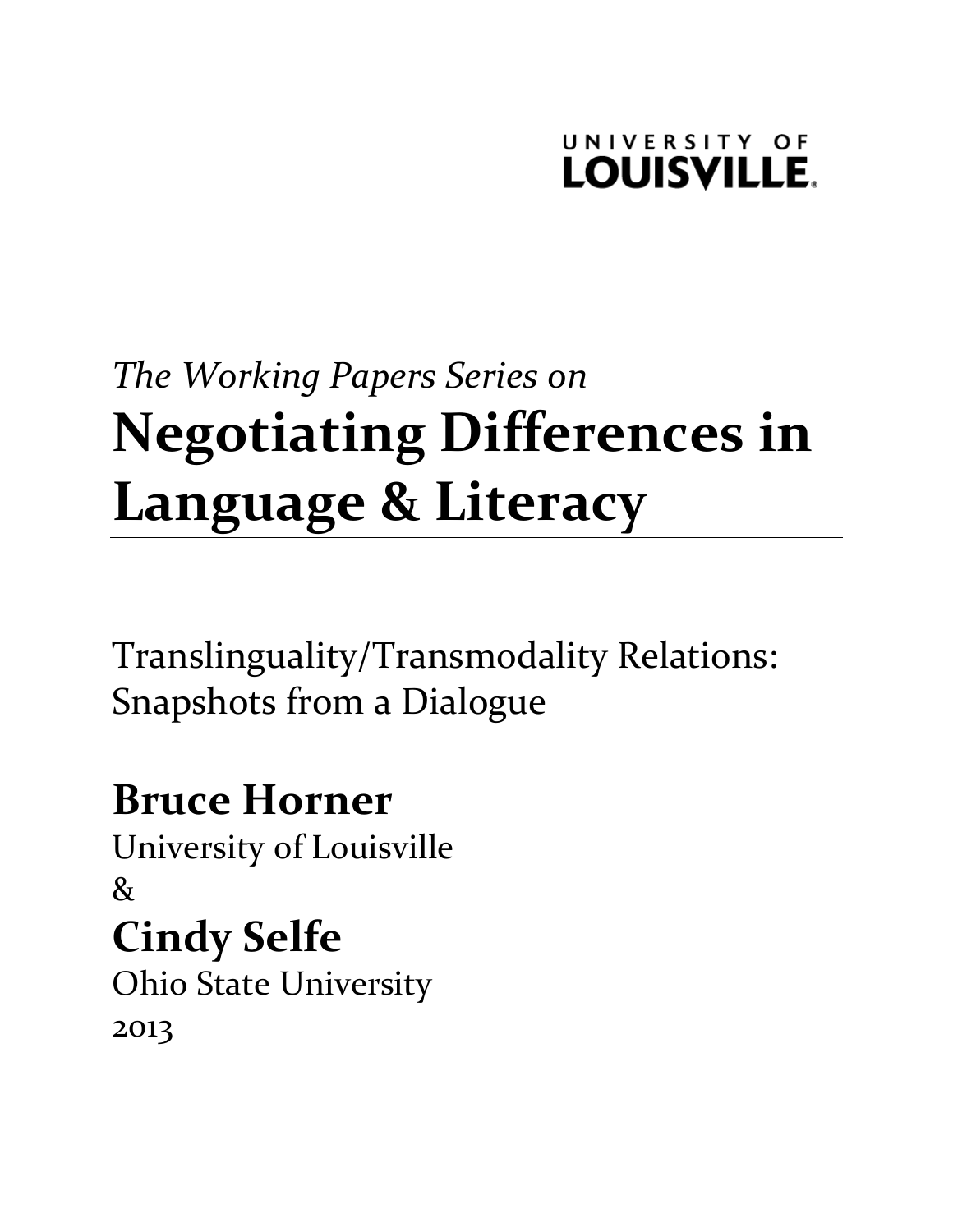### UNIVERSITY OF **LOUISVILLE.**

# *The\$Working\$Papers\$Series\$on* **Negotiating)Differences)in)** Language & Literacy

Translinguality/Transmodality!Relations: Snapshots from a Dialogue

## **Bruce)Horner**

University of Louisville  $\mathcal{R}_{I}$ 

## **Cindy Selfe**

**Ohio State University** 2013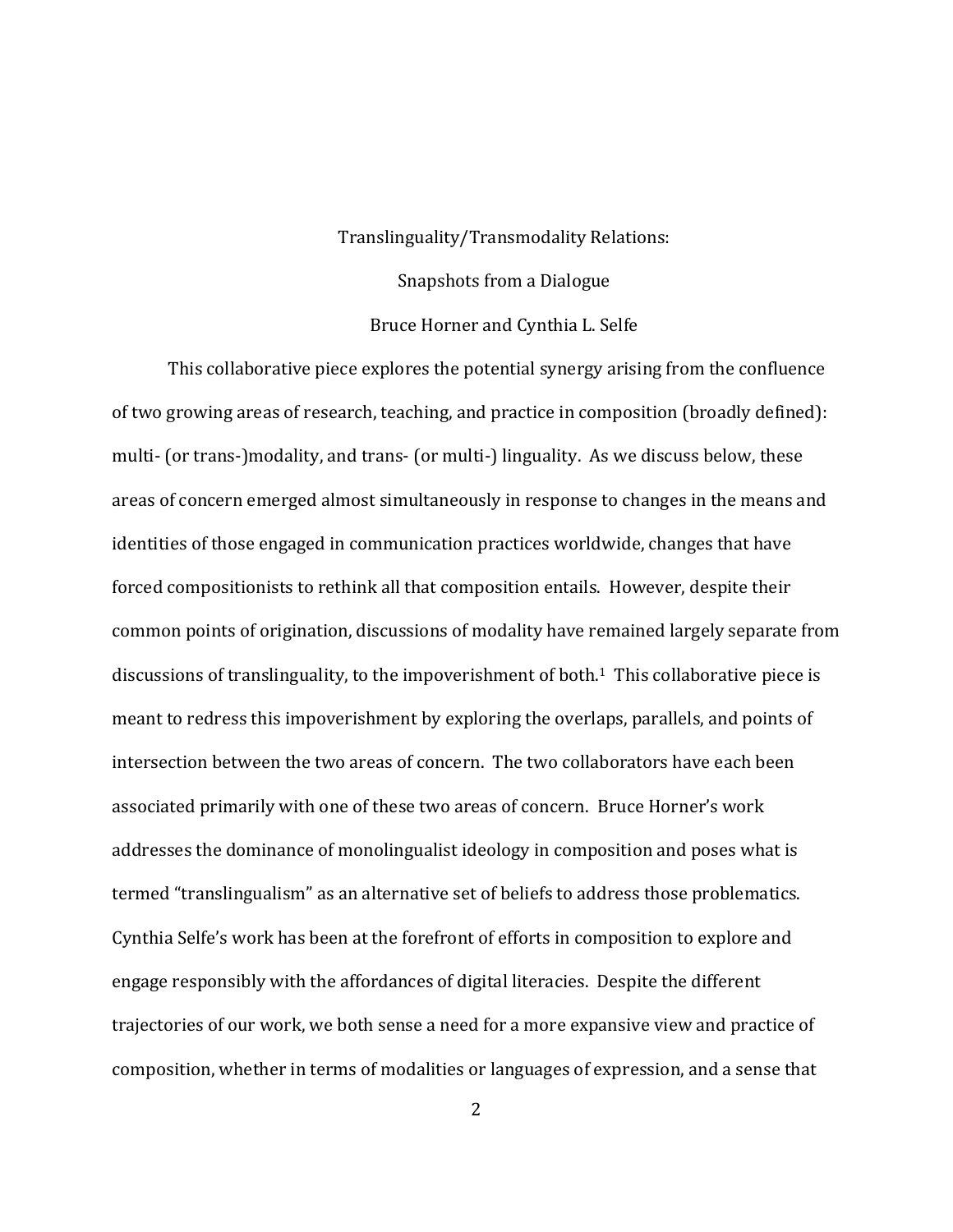#### Translinguality/Transmodality Relations:

#### Snapshots from a Dialogue

#### Bruce Horner and Cynthia L. Selfe

This collaborative piece explores the potential synergy arising from the confluence of two growing areas of research, teaching, and practice in composition (broadly defined): multi- (or trans-)modality, and trans- (or multi-) linguality. As we discuss below, these areas of concern emerged almost simultaneously in response to changes in the means and identities of those engaged in communication practices worldwide, changes that have forced compositionists to rethink all that composition entails. However, despite their common points of origination, discussions of modality have remained largely separate from discussions of translinguality, to the impoverishment of both.<sup>1</sup> This collaborative piece is meant to redress this impoverishment by exploring the overlaps, parallels, and points of intersection between the two areas of concern. The two collaborators have each been associated primarily with one of these two areas of concern. Bruce Horner's work addresses the dominance of monolingualist ideology in composition and poses what is termed "translingualism" as an alternative set of beliefs to address those problematics. Cynthia Selfe's work has been at the forefront of efforts in composition to explore and engage responsibly with the affordances of digital literacies. Despite the different trajectories of our work, we both sense a need for a more expansive view and practice of composition, whether in terms of modalities or languages of expression, and a sense that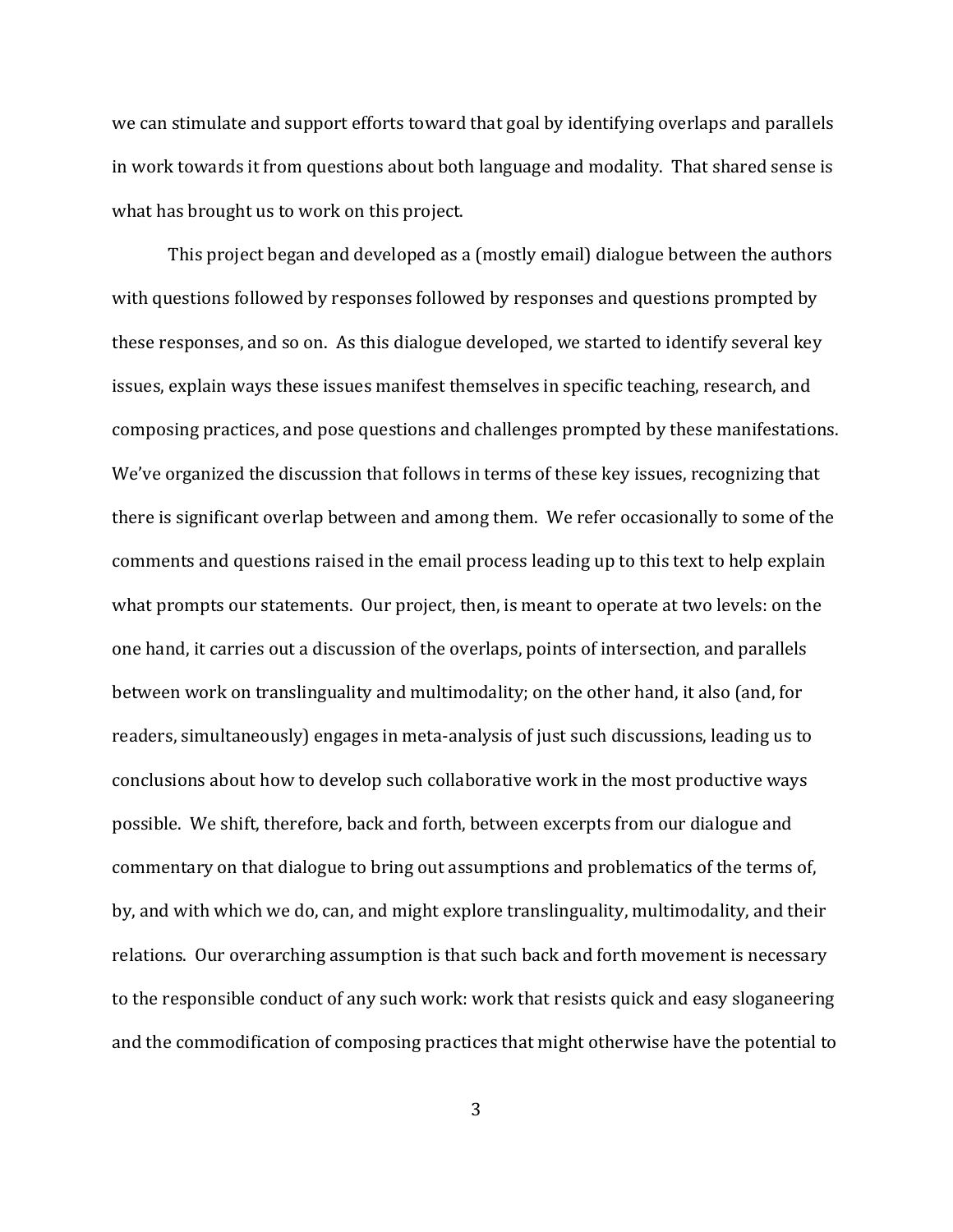we can stimulate and support efforts toward that goal by identifying overlaps and parallels in work towards it from questions about both language and modality. That shared sense is what has brought us to work on this project.

This project began and developed as a (mostly email) dialogue between the authors with questions followed by responses followed by responses and questions prompted by these responses, and so on. As this dialogue developed, we started to identify several key issues, explain ways these issues manifest themselves in specific teaching, research, and composing practices, and pose questions and challenges prompted by these manifestations. We've organized the discussion that follows in terms of these key issues, recognizing that there is significant overlap between and among them. We refer occasionally to some of the comments and questions raised in the email process leading up to this text to help explain what prompts our statements. Our project, then, is meant to operate at two levels: on the one hand, it carries out a discussion of the overlaps, points of intersection, and parallels between work on translinguality and multimodality; on the other hand, it also (and, for readers, simultaneously) engages in meta-analysis of just such discussions, leading us to conclusions about how to develop such collaborative work in the most productive ways possible. We shift, therefore, back and forth, between excerpts from our dialogue and commentary on that dialogue to bring out assumptions and problematics of the terms of, by, and with which we do, can, and might explore translinguality, multimodality, and their relations. Our overarching assumption is that such back and forth movement is necessary to the responsible conduct of any such work: work that resists quick and easy sloganeering and the commodification of composing practices that might otherwise have the potential to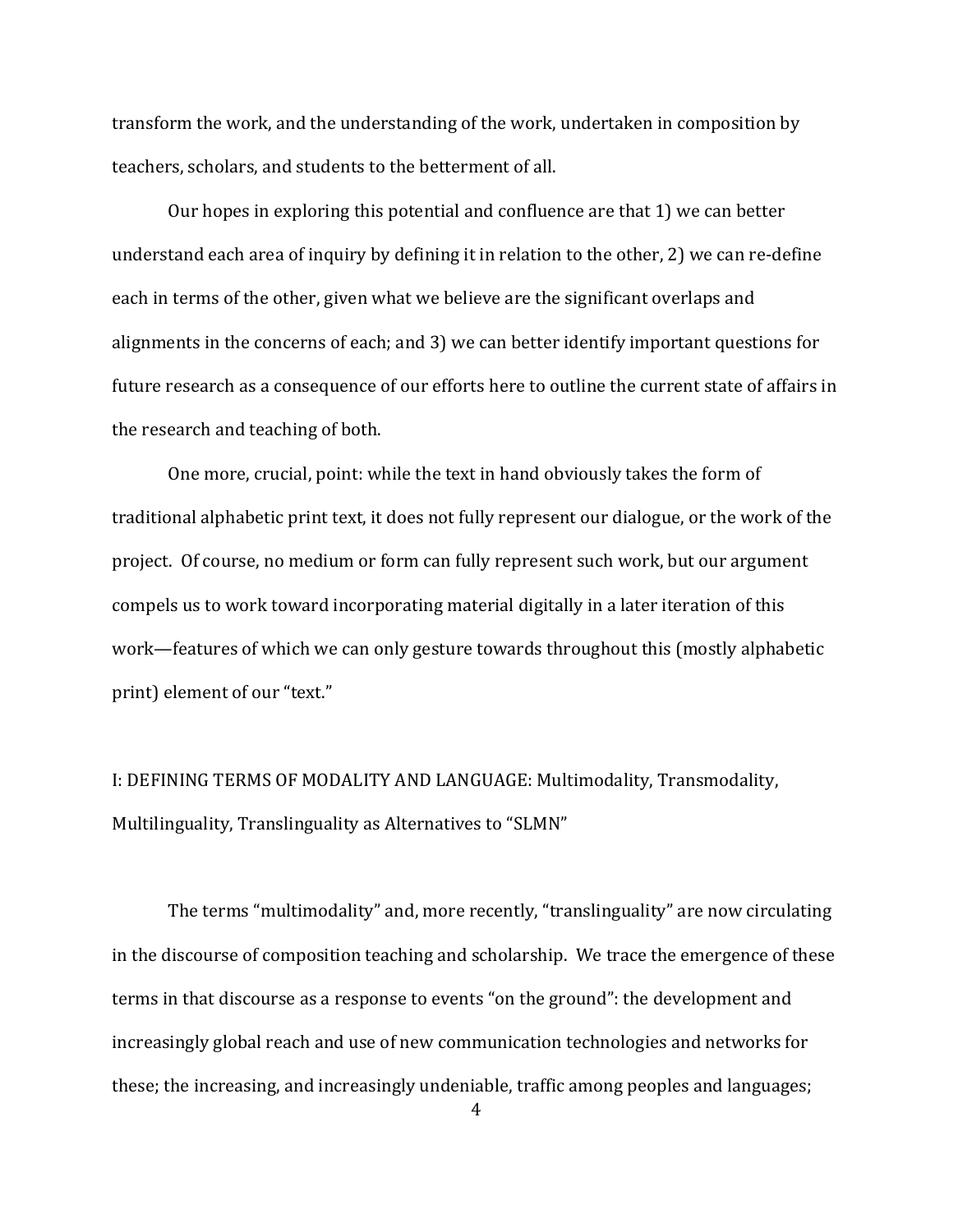transform the work, and the understanding of the work, undertaken in composition by teachers, scholars, and students to the betterment of all.

Our hopes in exploring this potential and confluence are that 1) we can better understand each area of inquiry by defining it in relation to the other, 2) we can re-define each in terms of the other, given what we believe are the significant overlaps and alignments in the concerns of each; and 3) we can better identify important questions for future research as a consequence of our efforts here to outline the current state of affairs in the research and teaching of both.

One more, crucial, point: while the text in hand obviously takes the form of traditional alphabetic print text, it does not fully represent our dialogue, or the work of the project. Of course, no medium or form can fully represent such work, but our argument compels us to work toward incorporating material digitally in a later iteration of this work—features of which we can only gesture towards throughout this (mostly alphabetic print) element of our "text."

I: DEFINING TERMS OF MODALITY AND LANGUAGE: Multimodality, Transmodality, Multilinguality, Translinguality as Alternatives to "SLMN"

The terms "multimodality" and, more recently, "translinguality" are now circulating in the discourse of composition teaching and scholarship. We trace the emergence of these terms in that discourse as a response to events "on the ground": the development and increasingly global reach and use of new communication technologies and networks for these; the increasing, and increasingly undeniable, traffic among peoples and languages;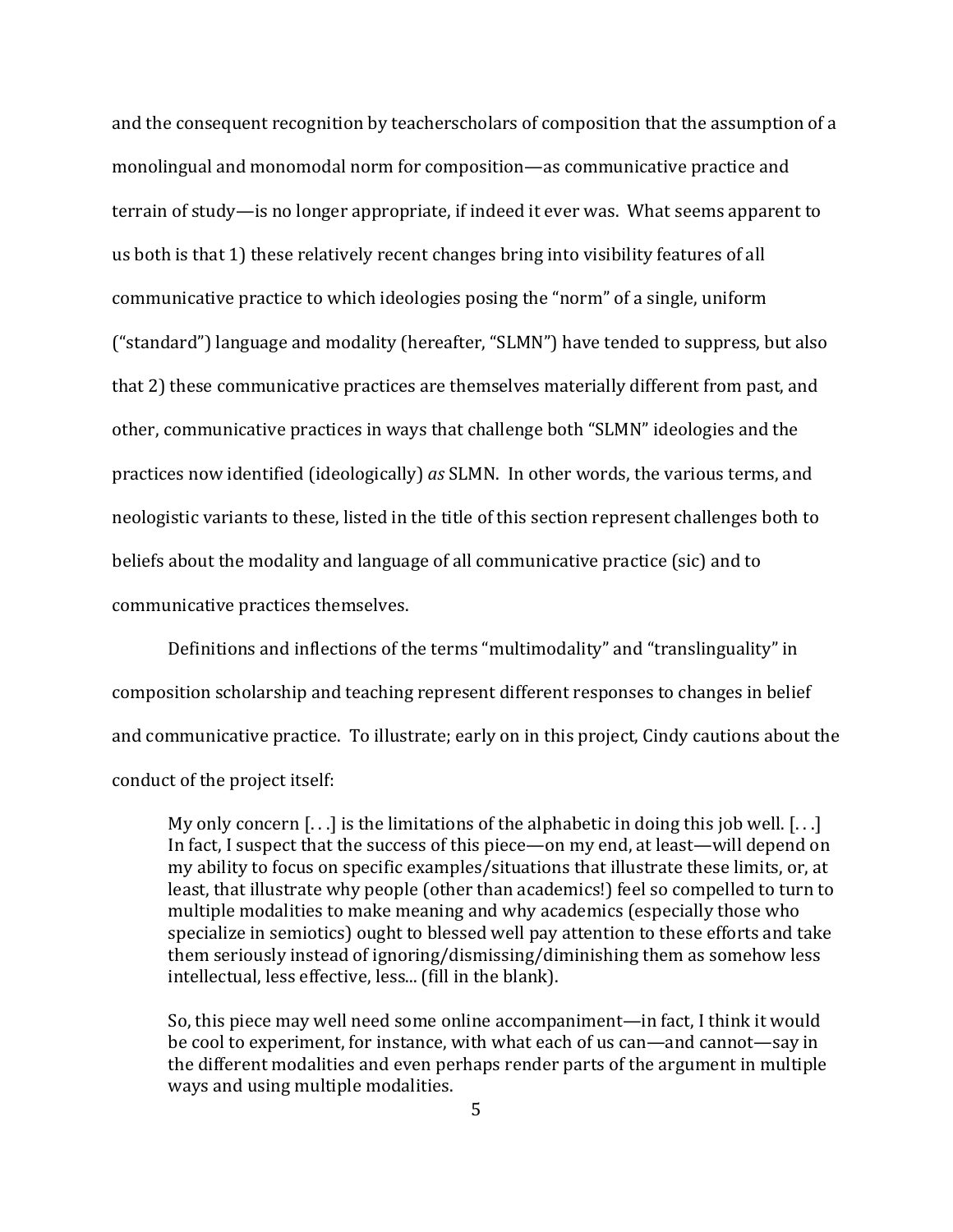and the consequent recognition by teacherscholars of composition that the assumption of a monolingual and monomodal norm for composition—as communicative practice and terrain of study—is no longer appropriate, if indeed it ever was. What seems apparent to us both is that 1) these relatively recent changes bring into visibility features of all communicative practice to which ideologies posing the "norm" of a single, uniform ("standard") language and modality (hereafter, "SLMN") have tended to suppress, but also that 2) these communicative practices are themselves materially different from past, and other, communicative practices in ways that challenge both "SLMN" ideologies and the practices now identified (ideologically) *as* SLMN. In other words, the various terms, and neologistic variants to these, listed in the title of this section represent challenges both to beliefs about the modality and language of all communicative practice (sic) and to communicative practices themselves.

Definitions and inflections of the terms "multimodality" and "translinguality" in composition scholarship and teaching represent different responses to changes in belief and communicative practice. To illustrate; early on in this project, Cindy cautions about the conduct of the project itself:

My only concern  $[...]$  is the limitations of the alphabetic in doing this job well.  $[...]$ In fact, I suspect that the success of this piece—on my end, at least—will depend on my ability to focus on specific examples/situations that illustrate these limits, or, at least, that illustrate why people (other than academics!) feel so compelled to turn to multiple modalities to make meaning and why academics (especially those who specialize in semiotics) ought to blessed well pay attention to these efforts and take them seriously instead of ignoring/dismissing/diminishing them as somehow less intellectual, less effective, less... (fill in the blank).

So, this piece may well need some online accompaniment—in fact, I think it would be cool to experiment, for instance, with what each of us can—and cannot—say in the different modalities and even perhaps render parts of the argument in multiple ways and using multiple modalities.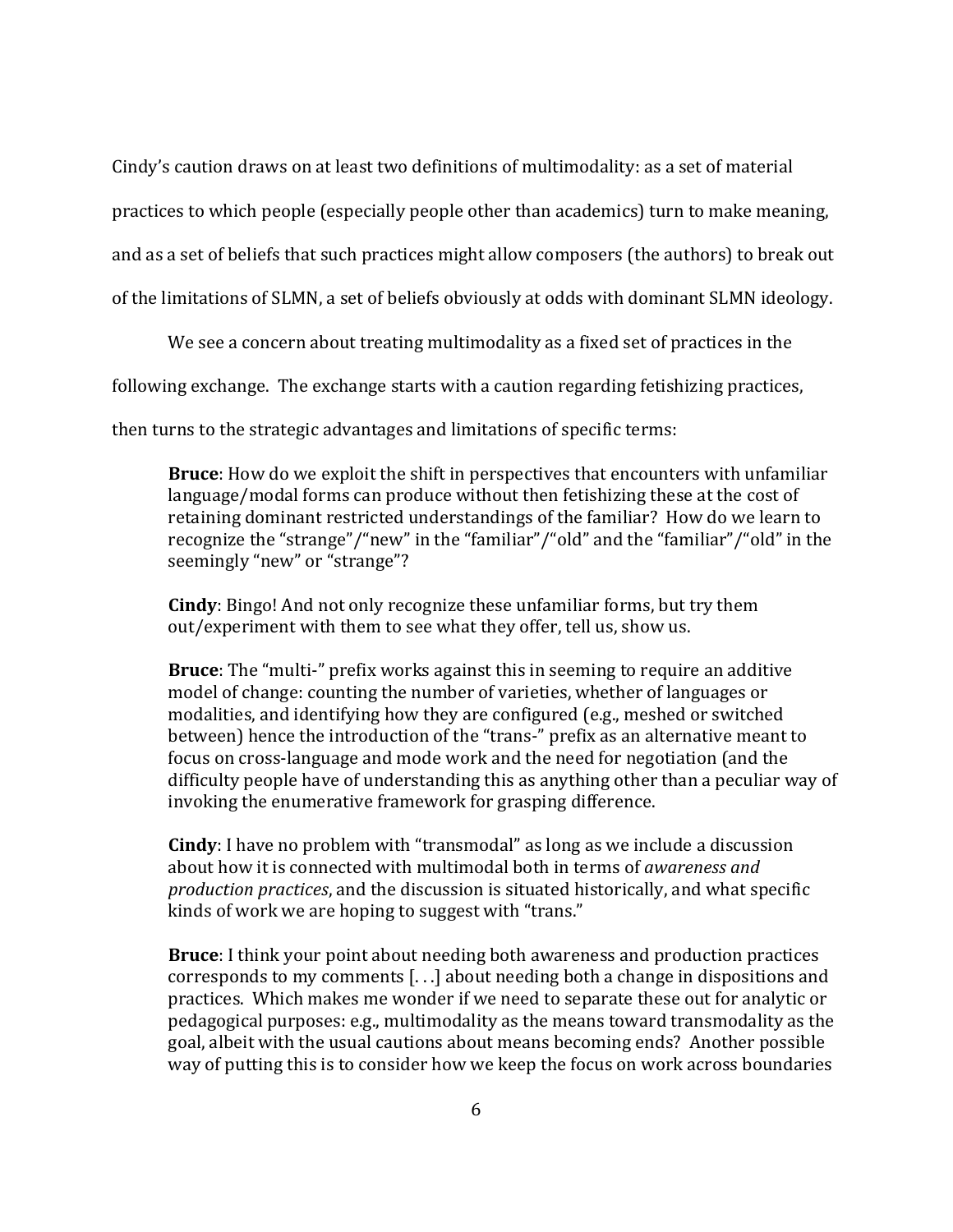Cindy's caution draws on at least two definitions of multimodality: as a set of material

practices to which people (especially people other than academics) turn to make meaning,

and as a set of beliefs that such practices might allow composers (the authors) to break out

of the limitations of SLMN, a set of beliefs obviously at odds with dominant SLMN ideology.

We see a concern about treating multimodality as a fixed set of practices in the

following exchange. The exchange starts with a caution regarding fetishizing practices,

then turns to the strategic advantages and limitations of specific terms:

**Bruce**: How do we exploit the shift in perspectives that encounters with unfamiliar language/modal forms can produce without then fetishizing these at the cost of retaining dominant restricted understandings of the familiar? How do we learn to recognize the "strange"/"new" in the "familiar"/"old" and the "familiar"/"old" in the seemingly "new" or "strange"?

**Cindy**: Bingo! And not only recognize these unfamiliar forms, but try them out/experiment with them to see what they offer, tell us, show us.

**Bruce**: The "multi-" prefix works against this in seeming to require an additive model of change: counting the number of varieties, whether of languages or modalities, and identifying how they are configured (e.g., meshed or switched between) hence the introduction of the "trans-" prefix as an alternative meant to focus on cross-language and mode work and the need for negotiation (and the difficulty people have of understanding this as anything other than a peculiar way of invoking the enumerative framework for grasping difference.

**Cindy**: I have no problem with "transmodal" as long as we include a discussion about how it is connected with multimodal both in terms of *awareness and production practices*, and the discussion is situated historically, and what specific kinds of work we are hoping to suggest with "trans."

**Bruce**: I think your point about needing both awareness and production practices corresponds to my comments  $[...]$  about needing both a change in dispositions and practices. Which makes me wonder if we need to separate these out for analytic or pedagogical purposes: e.g., multimodality as the means toward transmodality as the goal, albeit with the usual cautions about means becoming ends? Another possible way of putting this is to consider how we keep the focus on work across boundaries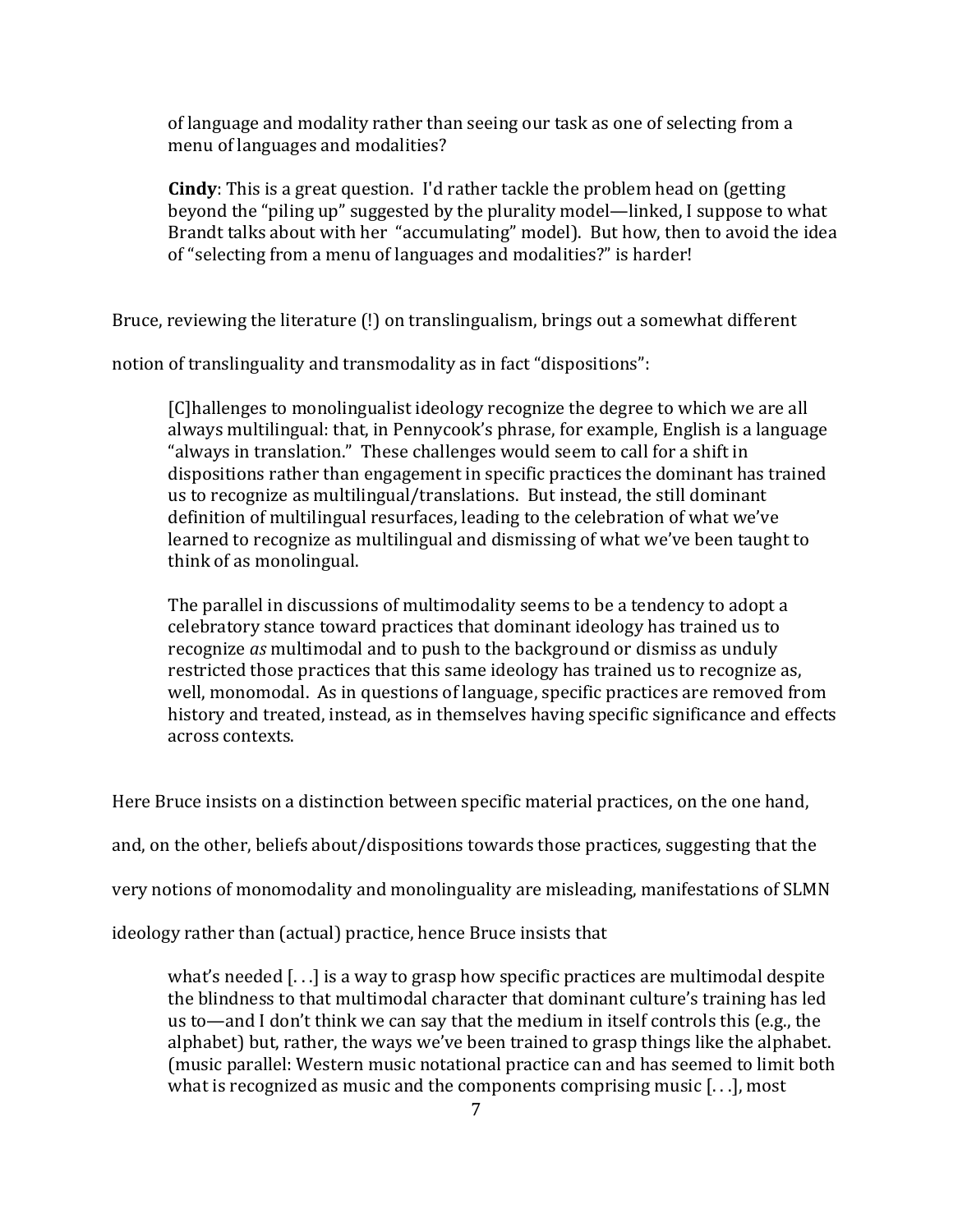of language and modality rather than seeing our task as one of selecting from a menu of languages and modalities?

**Cindy**: This is a great question. I'd rather tackle the problem head on (getting beyond the "piling up" suggested by the plurality model—linked, I suppose to what Brandt talks about with her "accumulating" model). But how, then to avoid the idea of "selecting from a menu of languages and modalities?" is harder!

Bruce, reviewing the literature (!) on translingualism, brings out a somewhat different

notion of translinguality and transmodality as in fact "dispositions":

[C]hallenges to monolingualist ideology recognize the degree to which we are all always multilingual: that, in Pennycook's phrase, for example, English is a language "always in translation." These challenges would seem to call for a shift in dispositions rather than engagement in specific practices the dominant has trained us to recognize as multilingual/translations. But instead, the still dominant definition of multilingual resurfaces, leading to the celebration of what we've learned to recognize as multilingual and dismissing of what we've been taught to think of as monolingual.

The parallel in discussions of multimodality seems to be a tendency to adopt a celebratory stance toward practices that dominant ideology has trained us to recognize *as* multimodal and to push to the background or dismiss as unduly restricted those practices that this same ideology has trained us to recognize as, well, monomodal. As in questions of language, specific practices are removed from history and treated, instead, as in themselves having specific significance and effects across contexts.

Here Bruce insists on a distinction between specific material practices, on the one hand,

and, on the other, beliefs about/dispositions towards those practices, suggesting that the

very notions of monomodality and monolinguality are misleading, manifestations of SLMN

ideology rather than (actual) practice, hence Bruce insists that

what's needed  $[...]$  is a way to grasp how specific practices are multimodal despite the blindness to that multimodal character that dominant culture's training has led us to—and I don't think we can say that the medium in itself controls this (e.g., the alphabet) but, rather, the ways we've been trained to grasp things like the alphabet. (music parallel: Western music notational practice can and has seemed to limit both what is recognized as music and the components comprising music  $[...]$ , most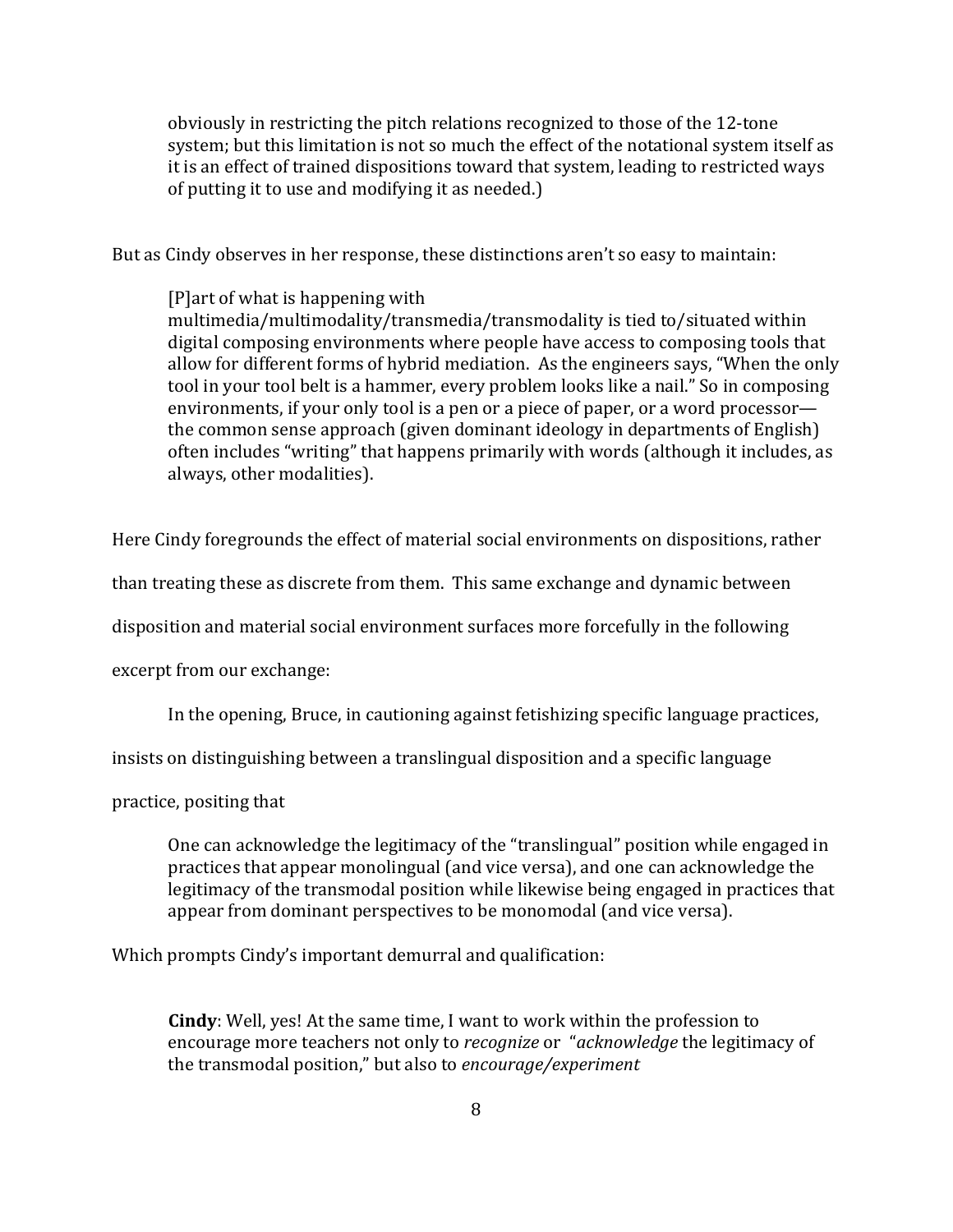obviously in restricting the pitch relations recognized to those of the 12-tone system; but this limitation is not so much the effect of the notational system itself as it is an effect of trained dispositions toward that system, leading to restricted ways of putting it to use and modifying it as needed.)

But as Cindy observes in her response, these distinctions aren't so easy to maintain:

 $[P]$ art of what is happening with multimedia/multimodality/transmedia/transmodality is tied to/situated within digital composing environments where people have access to composing tools that allow for different forms of hybrid mediation. As the engineers says, "When the only tool in your tool belt is a hammer, every problem looks like a nail." So in composing environments, if your only tool is a pen or a piece of paper, or a word processor the common sense approach (given dominant ideology in departments of English) often includes "writing" that happens primarily with words (although it includes, as always, other modalities).

Here Cindy foregrounds the effect of material social environments on dispositions, rather

than treating these as discrete from them. This same exchange and dynamic between

disposition and material social environment surfaces more forcefully in the following

excerpt from our exchange:

In the opening, Bruce, in cautioning against fetishizing specific language practices,

insists on distinguishing between a translingual disposition and a specific language

practice, positing that

One can acknowledge the legitimacy of the "translingual" position while engaged in practices that appear monolingual (and vice versa), and one can acknowledge the legitimacy of the transmodal position while likewise being engaged in practices that appear from dominant perspectives to be monomodal (and vice versa).

Which prompts Cindy's important demurral and qualification:

**Cindy**: Well, yes! At the same time, I want to work within the profession to the profession to the same. encourage more teachers not only to *recognize* or "*acknowledge* the legitimacy of the transmodal position," but also to *encourage/experiment*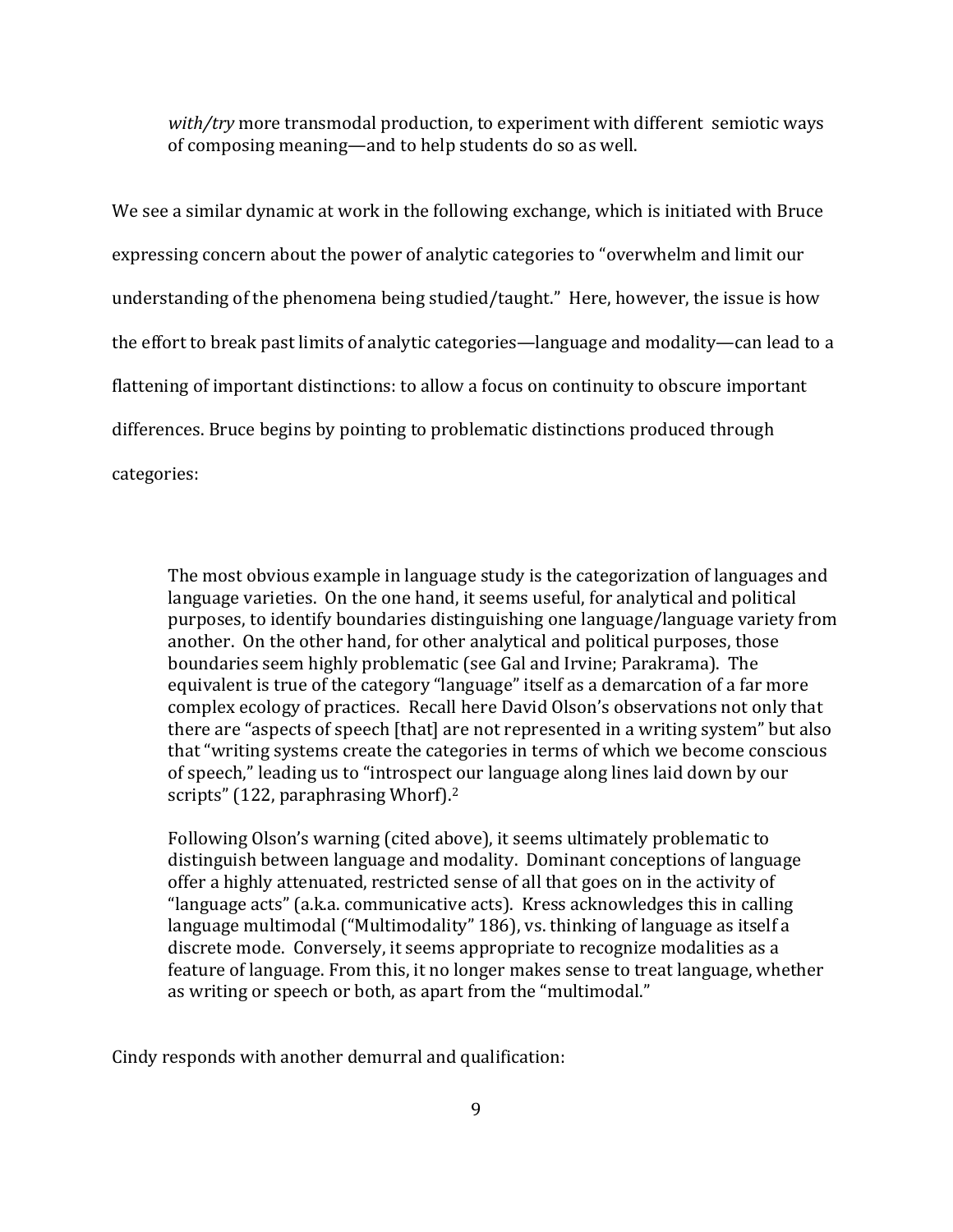*with/try* more transmodal production, to experiment with different semiotic ways of composing meaning—and to help students do so as well.

We see a similar dynamic at work in the following exchange, which is initiated with Bruce expressing concern about the power of analytic categories to "overwhelm and limit our understanding of the phenomena being studied/taught." Here, however, the issue is how the effort to break past limits of analytic categories—language and modality—can lead to a flattening of important distinctions: to allow a focus on continuity to obscure important differences. Bruce begins by pointing to problematic distinctions produced through categories:

The most obvious example in language study is the categorization of languages and language varieties. On the one hand, it seems useful, for analytical and political purposes, to identify boundaries distinguishing one language/language variety from another. On the other hand, for other analytical and political purposes, those boundaries seem highly problematic (see Gal and Irvine; Parakrama). The equivalent is true of the category "language" itself as a demarcation of a far more complex ecology of practices. Recall here David Olson's observations not only that there are "aspects of speech [that] are not represented in a writing system" but also that "writing systems create the categories in terms of which we become conscious of speech," leading us to "introspect our language along lines laid down by our scripts" (122, paraphrasing Whorf). $2$ 

Following Olson's warning (cited above), it seems ultimately problematic to distinguish between language and modality. Dominant conceptions of language offer a highly attenuated, restricted sense of all that goes on in the activity of "language acts" (a.k.a. communicative acts). Kress acknowledges this in calling language multimodal ("Multimodality" 186), vs. thinking of language as itself a discrete mode. Conversely, it seems appropriate to recognize modalities as a feature of language. From this, it no longer makes sense to treat language, whether as writing or speech or both, as apart from the "multimodal."

Cindy responds with another demurral and qualification: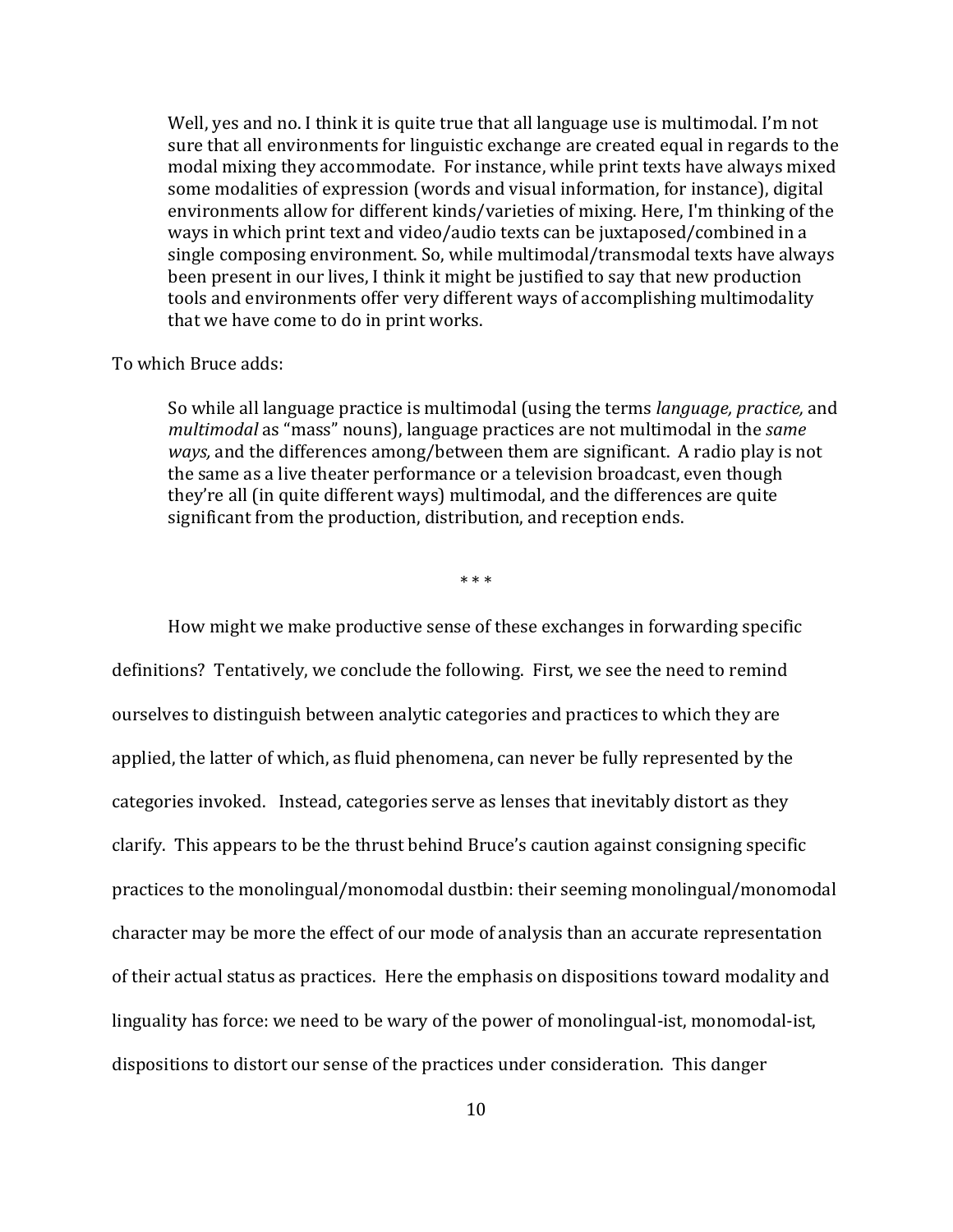Well, yes and no. I think it is quite true that all language use is multimodal. I'm not sure that all environments for linguistic exchange are created equal in regards to the modal mixing they accommodate. For instance, while print texts have always mixed some modalities of expression (words and visual information, for instance), digital environments allow for different kinds/varieties of mixing. Here, I'm thinking of the ways in which print text and video/audio texts can be juxtaposed/combined in a single composing environment. So, while multimodal/transmodal texts have always been present in our lives, I think it might be justified to say that new production tools and environments offer very different ways of accomplishing multimodality that we have come to do in print works.

#### To which Bruce adds:

So while all language practice is multimodal (using the terms *language, practice,* and multimodal as "mass" nouns), language practices are not multimodal in the *same ways,* and the differences among/between them are significant. A radio play is not the same as a live theater performance or a television broadcast, even though they're all (in quite different ways) multimodal, and the differences are quite significant from the production, distribution, and reception ends.

\*!\*!\*

How might we make productive sense of these exchanges in forwarding specific definitions? Tentatively, we conclude the following. First, we see the need to remind ourselves to distinguish between analytic categories and practices to which they are applied, the latter of which, as fluid phenomena, can never be fully represented by the categories invoked. Instead, categories serve as lenses that inevitably distort as they clarify. This appears to be the thrust behind Bruce's caution against consigning specific practices to the monolingual/monomodal dustbin: their seeming monolingual/monomodal character may be more the effect of our mode of analysis than an accurate representation of their actual status as practices. Here the emphasis on dispositions toward modality and linguality has force: we need to be wary of the power of monolingual-ist, monomodal-ist, dispositions to distort our sense of the practices under consideration. This danger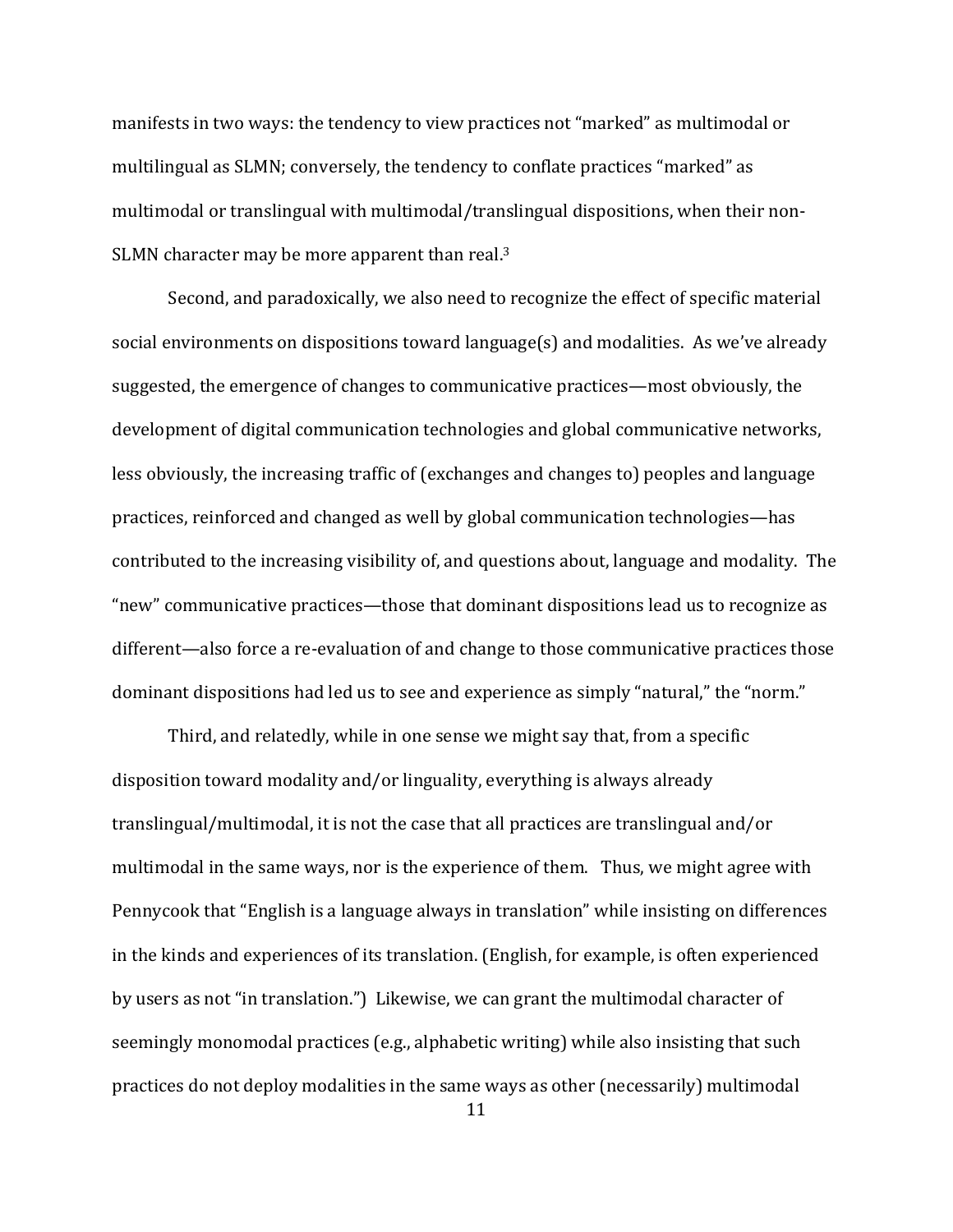manifests in two ways: the tendency to view practices not "marked" as multimodal or multilingual as SLMN; conversely, the tendency to conflate practices "marked" as multimodal or translingual with multimodal/translingual dispositions, when their non-SLMN character may be more apparent than real. $3$ 

Second, and paradoxically, we also need to recognize the effect of specific material social environments on dispositions toward language(s) and modalities. As we've already suggested, the emergence of changes to communicative practices—most obviously, the development of digital communication technologies and global communicative networks, less obviously, the increasing traffic of (exchanges and changes to) peoples and language practices, reinforced and changed as well by global communication technologies—has contributed to the increasing visibility of, and questions about, language and modality. The "new" communicative practices—those that dominant dispositions lead us to recognize as different—also force a re-evaluation of and change to those communicative practices those dominant dispositions had led us to see and experience as simply "natural," the "norm."

Third, and relatedly, while in one sense we might say that, from a specific disposition toward modality and/or linguality, everything is always already translingual/multimodal, it is not the case that all practices are translingual and/or multimodal in the same ways, nor is the experience of them. Thus, we might agree with Pennycook that "English is a language always in translation" while insisting on differences in the kinds and experiences of its translation. (English, for example, is often experienced by users as not "in translation.") Likewise, we can grant the multimodal character of seemingly monomodal practices (e.g., alphabetic writing) while also insisting that such practices do not deploy modalities in the same ways as other (necessarily) multimodal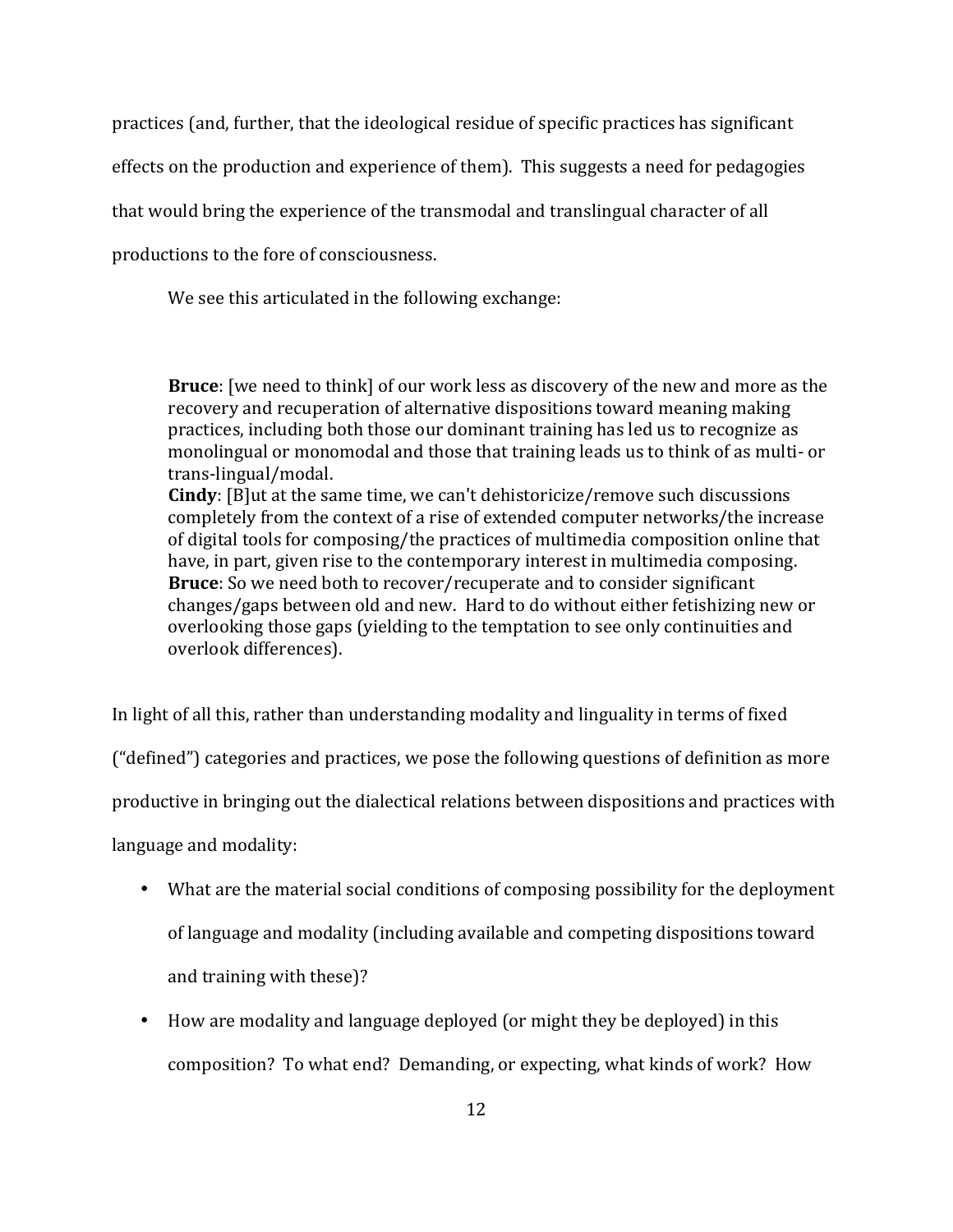practices (and, further, that the ideological residue of specific practices has significant

effects on the production and experience of them). This suggests a need for pedagogies

that would bring the experience of the transmodal and translingual character of all

productions to the fore of consciousness.

We see this articulated in the following exchange:

**Bruce**: [we need to think] of our work less as discovery of the new and more as the recovery and recuperation of alternative dispositions toward meaning making practices, including both those our dominant training has led us to recognize as monolingual or monomodal and those that training leads us to think of as multi- or trans-lingual/modal.

**Cindy**: [B]ut at the same time, we can't dehistoricize/remove such discussions completely from the context of a rise of extended computer networks/the increase of digital tools for composing/the practices of multimedia composition online that have, in part, given rise to the contemporary interest in multimedia composing. **Bruce**: So we need both to recover/recuperate and to consider significant changes/gaps between old and new. Hard to do without either fetishizing new or overlooking those gaps (vielding to the temptation to see only continuities and overlook differences).

In light of all this, rather than understanding modality and linguality in terms of fixed

("defined") categories and practices, we pose the following questions of definition as more

productive in bringing out the dialectical relations between dispositions and practices with

language and modality:

- What are the material social conditions of composing possibility for the deployment of language and modality (including available and competing dispositions toward and training with these)?
- How are modality and language deployed (or might they be deployed) in this composition? To what end? Demanding, or expecting, what kinds of work? How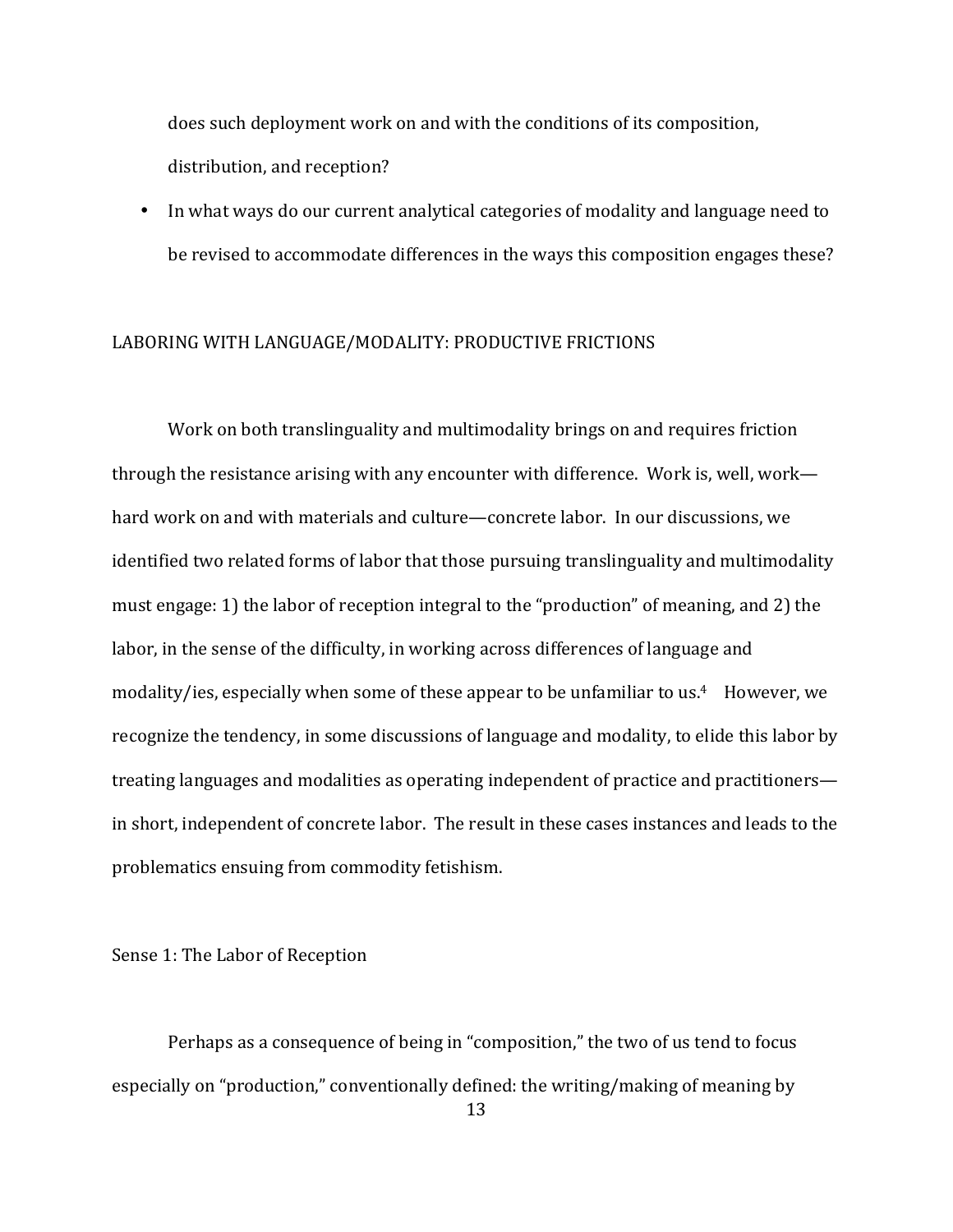does such deployment work on and with the conditions of its composition, distribution, and reception?

• In what ways do our current analytical categories of modality and language need to be revised to accommodate differences in the ways this composition engages these?

#### LABORING WITH LANGUAGE/MODALITY: PRODUCTIVE FRICTIONS

Work on both translinguality and multimodality brings on and requires friction through the resistance arising with any encounter with difference. Work is, well, work hard work on and with materials and culture—concrete labor. In our discussions, we identified two related forms of labor that those pursuing translinguality and multimodality must engage: 1) the labor of reception integral to the "production" of meaning, and 2) the labor, in the sense of the difficulty, in working across differences of language and modality/ies, especially when some of these appear to be unfamiliar to us.<sup>4</sup> However, we recognize the tendency, in some discussions of language and modality, to elide this labor by treating languages and modalities as operating independent of practice and practitioners in short, independent of concrete labor. The result in these cases instances and leads to the problematics ensuing from commodity fetishism.

Sense 1: The Labor of Reception

Perhaps as a consequence of being in "composition," the two of us tend to focus especially on "production," conventionally defined: the writing/making of meaning by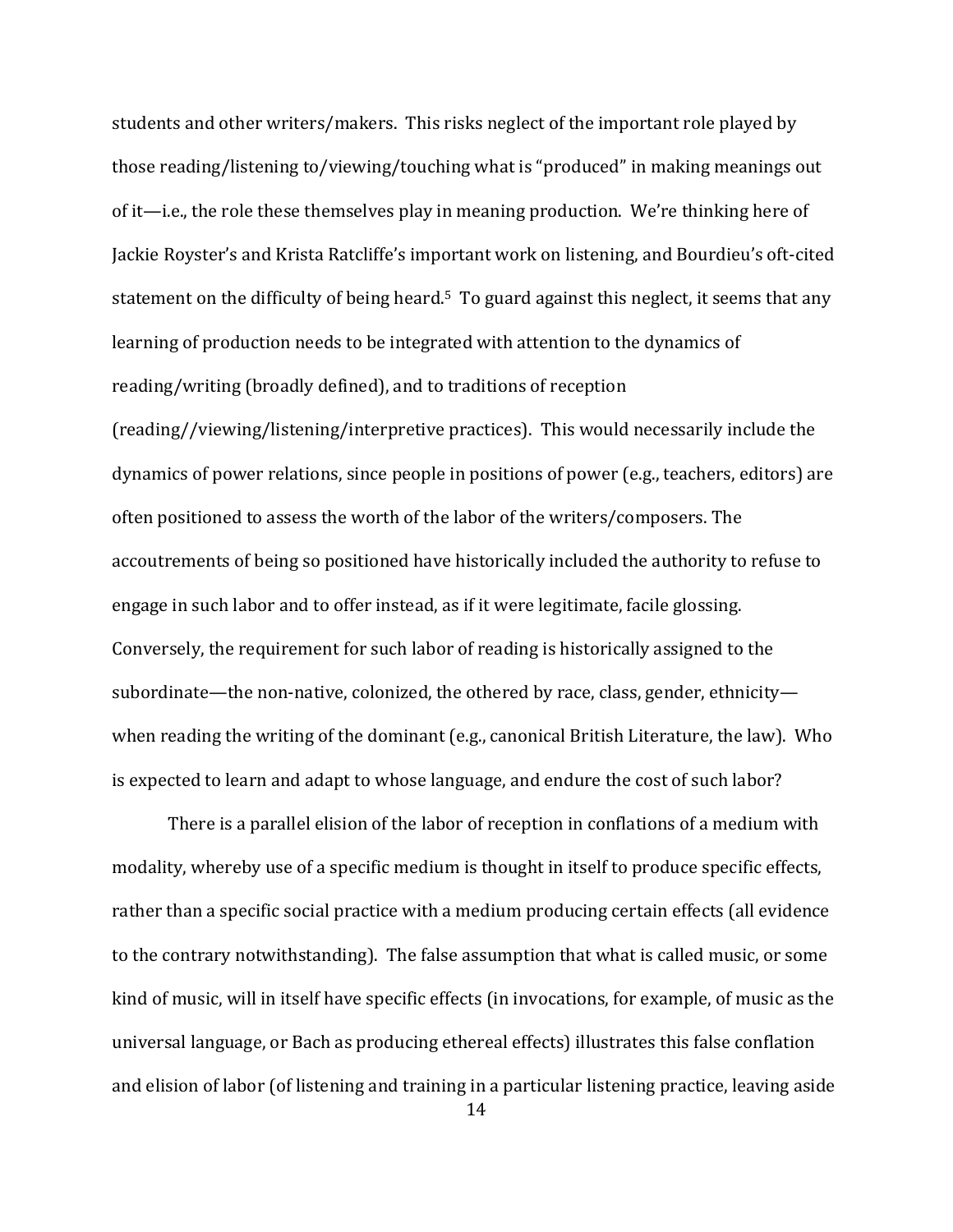students and other writers/makers. This risks neglect of the important role played by those reading/listening to/viewing/touching what is "produced" in making meanings out of it—i.e., the role these themselves play in meaning production. We're thinking here of Jackie Royster's and Krista Ratcliffe's important work on listening, and Bourdieu's oft-cited statement on the difficulty of being heard.<sup>5</sup> To guard against this neglect, it seems that any learning of production needs to be integrated with attention to the dynamics of reading/writing (broadly defined), and to traditions of reception (reading//viewing/listening/interpretive practices). This would necessarily include the dynamics of power relations, since people in positions of power (e.g., teachers, editors) are often positioned to assess the worth of the labor of the writers/composers. The accoutrements of being so positioned have historically included the authority to refuse to engage in such labor and to offer instead, as if it were legitimate, facile glossing. Conversely, the requirement for such labor of reading is historically assigned to the subordinate—the non-native, colonized, the othered by race, class, gender, ethnicity when reading the writing of the dominant (e.g., canonical British Literature, the law). Who is expected to learn and adapt to whose language, and endure the cost of such labor?

There is a parallel elision of the labor of reception in conflations of a medium with modality, whereby use of a specific medium is thought in itself to produce specific effects, rather than a specific social practice with a medium producing certain effects (all evidence to the contrary notwithstanding). The false assumption that what is called music, or some kind of music, will in itself have specific effects (in invocations, for example, of music as the universal language, or Bach as producing ethereal effects) illustrates this false conflation and elision of labor (of listening and training in a particular listening practice, leaving aside

<sup>14</sup>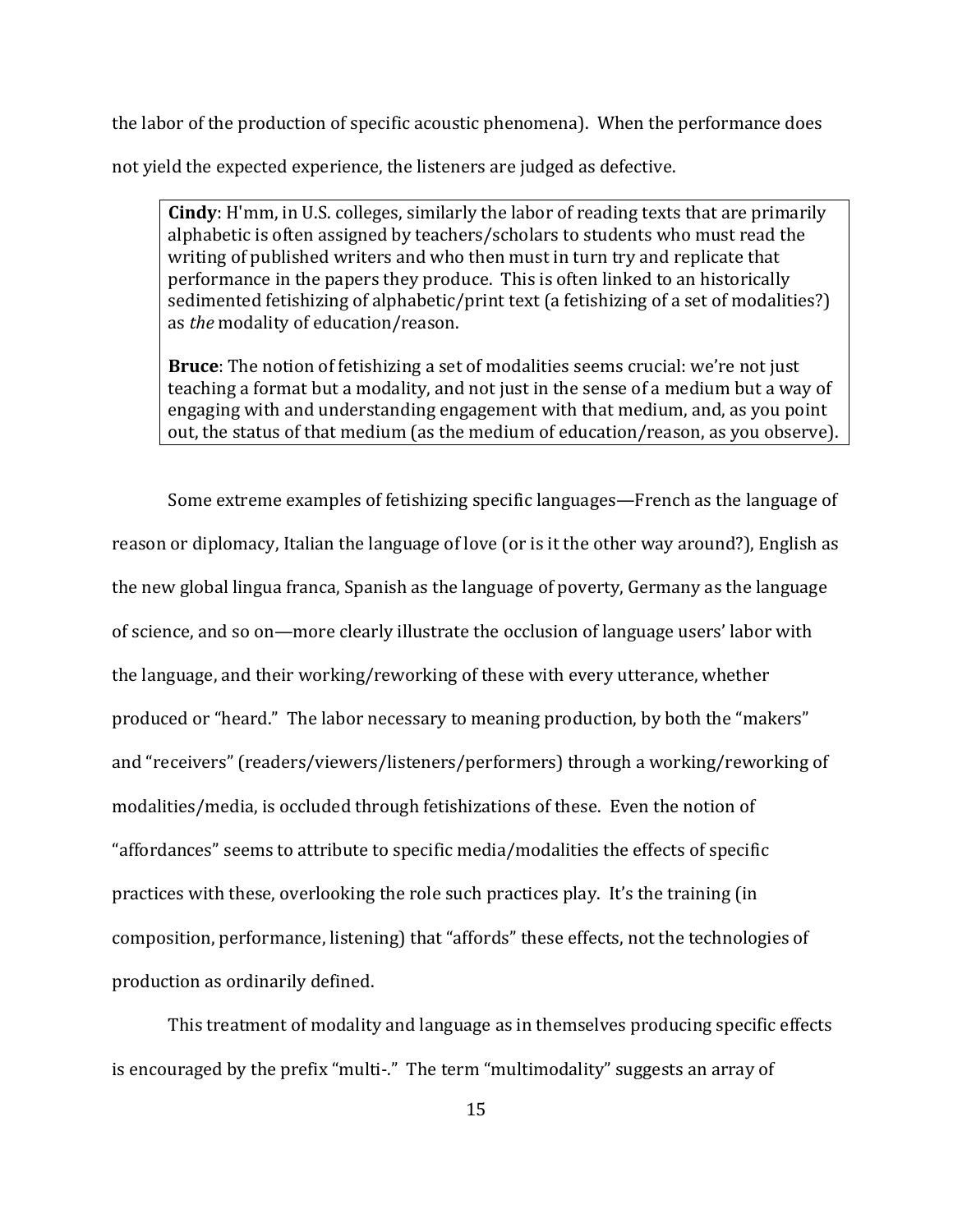the labor of the production of specific acoustic phenomena). When the performance does

not vield the expected experience, the listeners are judged as defective.

**Cindy**: H'mm, in U.S. colleges, similarly the labor of reading texts that are primarily alphabetic is often assigned by teachers/scholars to students who must read the writing of published writers and who then must in turn try and replicate that performance in the papers they produce. This is often linked to an historically sedimented fetishizing of alphabetic/print text (a fetishizing of a set of modalities?) as *the* modality of education/reason.

**Bruce**: The notion of fetishizing a set of modalities seems crucial: we're not just teaching a format but a modality, and not just in the sense of a medium but a way of engaging with and understanding engagement with that medium, and, as you point out, the status of that medium (as the medium of education/reason, as you observe).

Some extreme examples of fetishizing specific languages—French as the language of reason or diplomacy, Italian the language of love (or is it the other way around?), English as the new global lingua franca, Spanish as the language of poverty, Germany as the language of science, and so on—more clearly illustrate the occlusion of language users' labor with the language, and their working/reworking of these with every utterance, whether produced or "heard." The labor necessary to meaning production, by both the "makers" and "receivers" (readers/viewers/listeners/performers) through a working/reworking of modalities/media, is occluded through fetishizations of these. Even the notion of "affordances" seems to attribute to specific media/modalities the effects of specific practices with these, overlooking the role such practices play. It's the training (in composition, performance, listening) that "affords" these effects, not the technologies of production as ordinarily defined.

This treatment of modality and language as in themselves producing specific effects is encouraged by the prefix "multi-." The term "multimodality" suggests an array of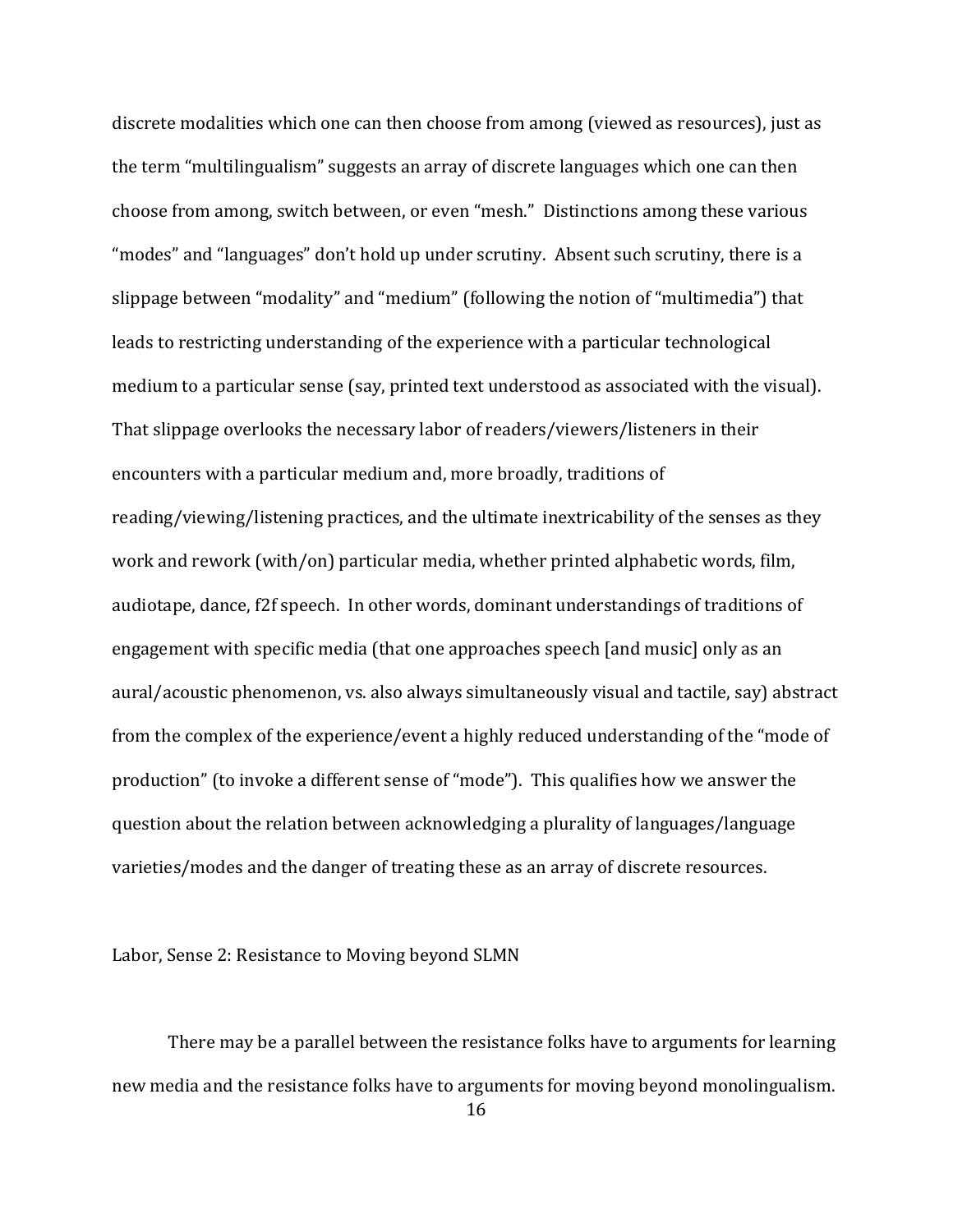discrete modalities which one can then choose from among (viewed as resources), just as the term "multilingualism" suggests an array of discrete languages which one can then choose from among, switch between, or even "mesh." Distinctions among these various "modes" and "languages" don't hold up under scrutiny. Absent such scrutiny, there is a slippage between "modality" and "medium" (following the notion of "multimedia") that leads to restricting understanding of the experience with a particular technological medium to a particular sense (say, printed text understood as associated with the visual). That slippage overlooks the necessary labor of readers/viewers/listeners in their encounters with a particular medium and, more broadly, traditions of reading/viewing/listening practices, and the ultimate inextricability of the senses as they work and rework (with/on) particular media, whether printed alphabetic words, film, audiotape, dance, f2f speech. In other words, dominant understandings of traditions of engagement with specific media (that one approaches speech [and music] only as an aural/acoustic phenomenon, vs. also always simultaneously visual and tactile, say) abstract from the complex of the experience/event a highly reduced understanding of the "mode of production" (to invoke a different sense of "mode"). This qualifies how we answer the question about the relation between acknowledging a plurality of languages/language varieties/modes and the danger of treating these as an array of discrete resources.

Labor, Sense 2: Resistance to Moving beyond SLMN

There may be a parallel between the resistance folks have to arguments for learning new media and the resistance folks have to arguments for moving beyond monolingualism.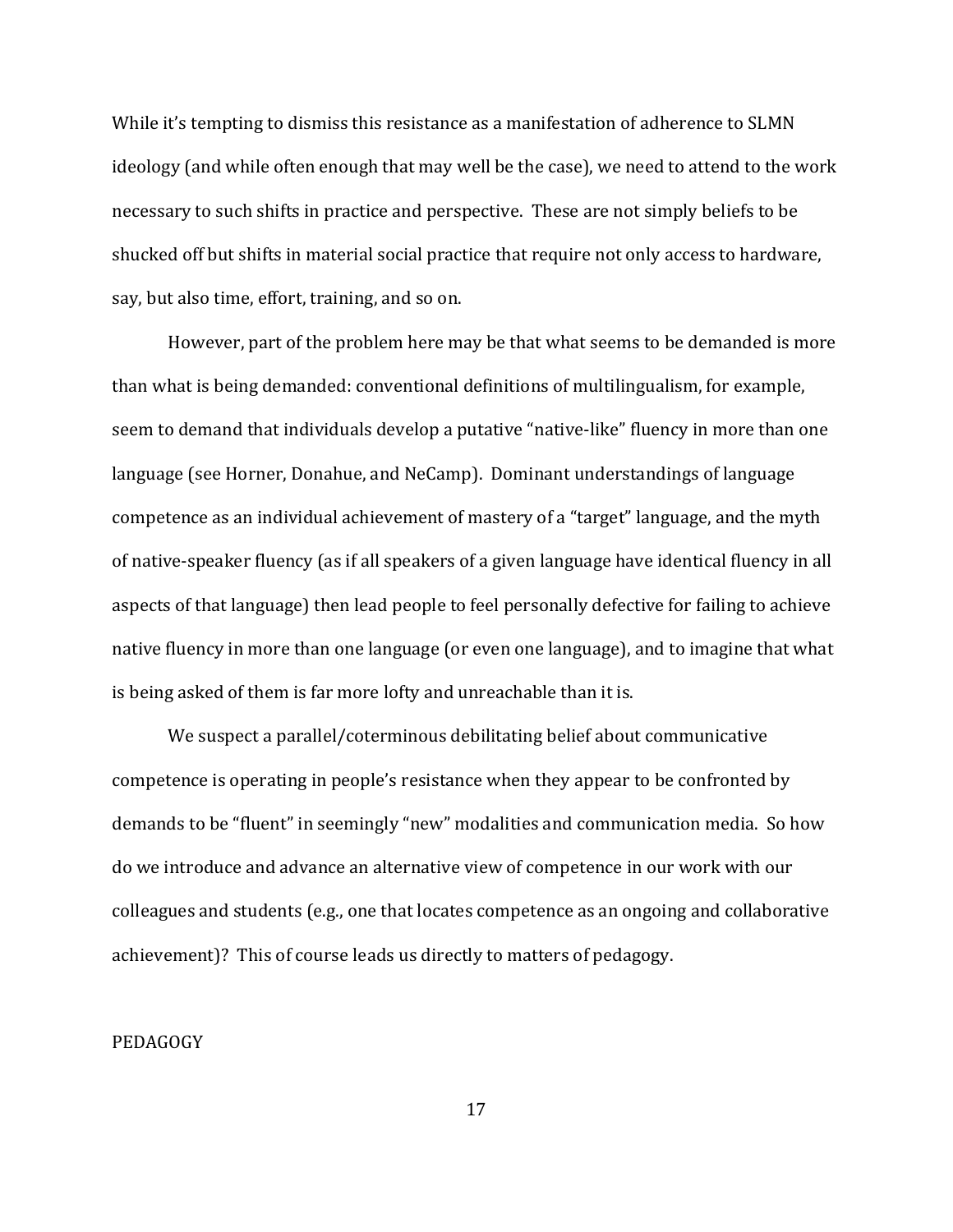While it's tempting to dismiss this resistance as a manifestation of adherence to SLMN ideology (and while often enough that may well be the case), we need to attend to the work necessary to such shifts in practice and perspective. These are not simply beliefs to be shucked off but shifts in material social practice that require not only access to hardware, say, but also time, effort, training, and so on.

However, part of the problem here may be that what seems to be demanded is more than what is being demanded: conventional definitions of multilingualism, for example, seem to demand that individuals develop a putative "native-like" fluency in more than one language (see Horner, Donahue, and NeCamp). Dominant understandings of language competence as an individual achievement of mastery of a "target" language, and the myth of native-speaker fluency (as if all speakers of a given language have identical fluency in all aspects of that language) then lead people to feel personally defective for failing to achieve native fluency in more than one language (or even one language), and to imagine that what is being asked of them is far more lofty and unreachable than it is.

We suspect a parallel/coterminous debilitating belief about communicative competence is operating in people's resistance when they appear to be confronted by demands to be "fluent" in seemingly "new" modalities and communication media. So how do we introduce and advance an alternative view of competence in our work with our colleagues and students (e.g., one that locates competence as an ongoing and collaborative achievement)? This of course leads us directly to matters of pedagogy.

#### PEDAGOGY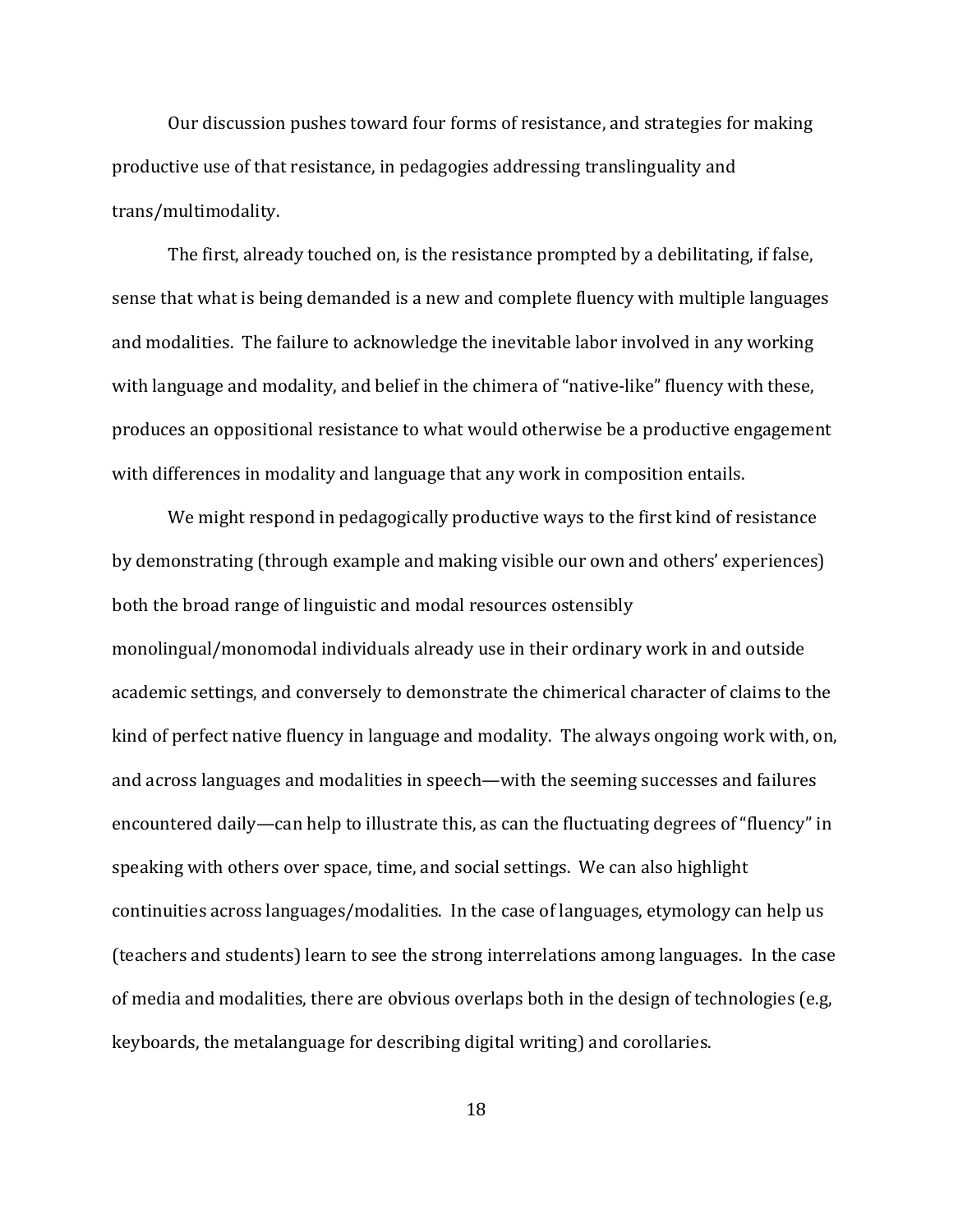Our discussion pushes toward four forms of resistance, and strategies for making productive use of that resistance, in pedagogies addressing translinguality and trans/multimodality.!

The first, already touched on, is the resistance prompted by a debilitating, if false, sense that what is being demanded is a new and complete fluency with multiple languages and modalities. The failure to acknowledge the inevitable labor involved in any working with language and modality, and belief in the chimera of "native-like" fluency with these, produces an oppositional resistance to what would otherwise be a productive engagement with differences in modality and language that any work in composition entails.

We might respond in pedagogically productive ways to the first kind of resistance by demonstrating (through example and making visible our own and others' experiences) both the broad range of linguistic and modal resources ostensibly monolingual/monomodal individuals already use in their ordinary work in and outside academic settings, and conversely to demonstrate the chimerical character of claims to the kind of perfect native fluency in language and modality. The always ongoing work with, on, and across languages and modalities in speech—with the seeming successes and failures encountered daily—can help to illustrate this, as can the fluctuating degrees of "fluency" in speaking with others over space, time, and social settings. We can also highlight continuities across languages/modalities. In the case of languages, etymology can help us (teachers and students) learn to see the strong interrelations among languages. In the case of media and modalities, there are obvious overlaps both in the design of technologies (e.g, keyboards, the metalanguage for describing digital writing) and corollaries.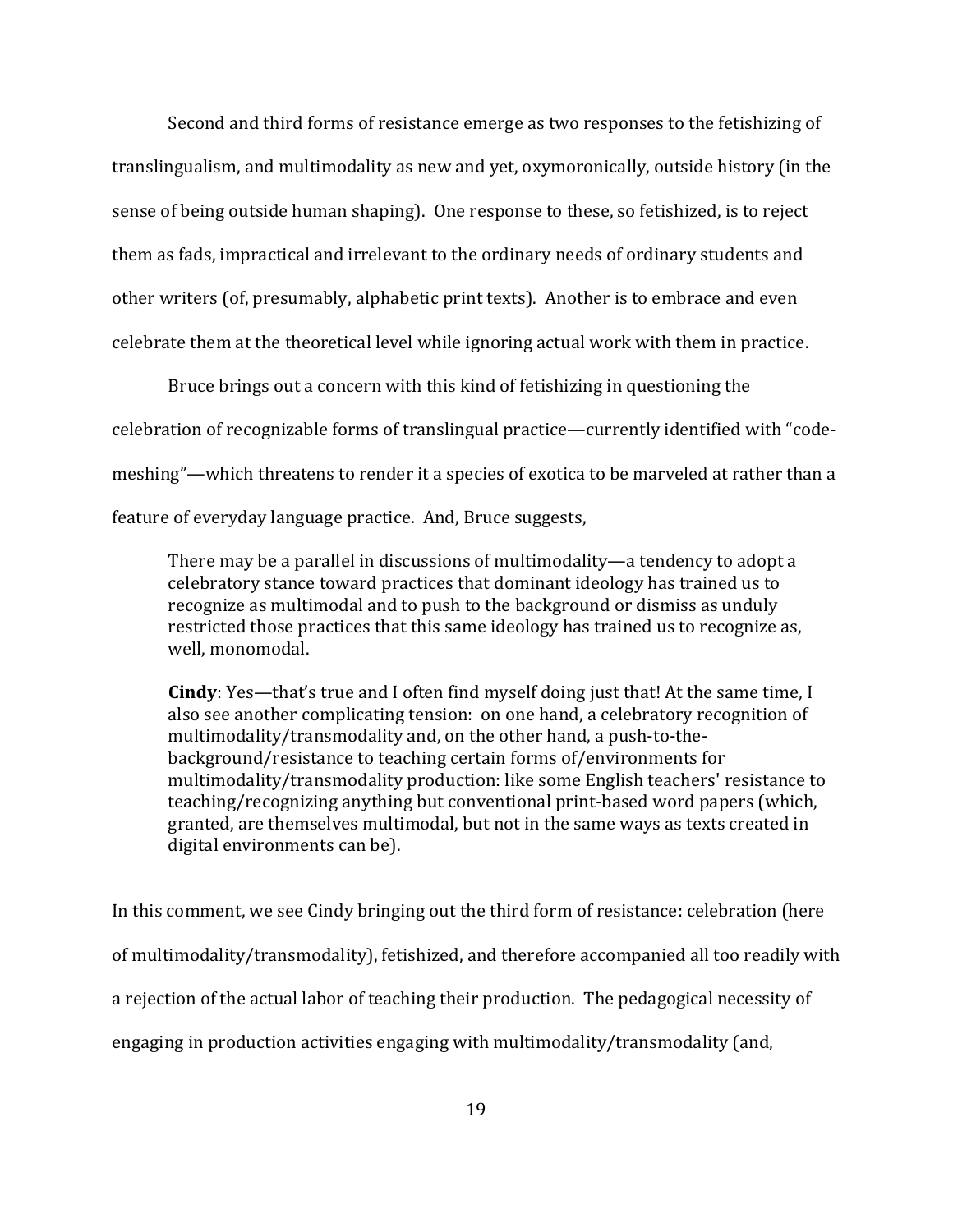Second and third forms of resistance emerge as two responses to the fetishizing of translingualism, and multimodality as new and yet, oxymoronically, outside history (in the sense of being outside human shaping). One response to these, so fetishized, is to reject them as fads, impractical and irrelevant to the ordinary needs of ordinary students and other writers (of, presumably, alphabetic print texts). Another is to embrace and even celebrate them at the theoretical level while ignoring actual work with them in practice.

Bruce brings out a concern with this kind of fetishizing in questioning the celebration of recognizable forms of translingual practice—currently identified with "codemeshing"—which threatens to render it a species of exotica to be marveled at rather than a feature of everyday language practice. And, Bruce suggests,

There may be a parallel in discussions of multimodality—a tendency to adopt a celebratory stance toward practices that dominant ideology has trained us to recognize as multimodal and to push to the background or dismiss as unduly restricted those practices that this same ideology has trained us to recognize as, well, monomodal.

**Cindy**: Yes—that's true and I often find myself doing just that! At the same time, I also see another complicating tension: on one hand, a celebratory recognition of multimodality/transmodality and, on the other hand, a push-to-thebackground/resistance to teaching certain forms of/environments for multimodality/transmodality production: like some English teachers' resistance to teaching/recognizing anything but conventional print-based word papers (which, granted, are themselves multimodal, but not in the same ways as texts created in digital environments can be).

In this comment, we see Cindy bringing out the third form of resistance: celebration (here of multimodality/transmodality), fetishized, and therefore accompanied all too readily with a rejection of the actual labor of teaching their production. The pedagogical necessity of engaging in production activities engaging with multimodality/transmodality (and,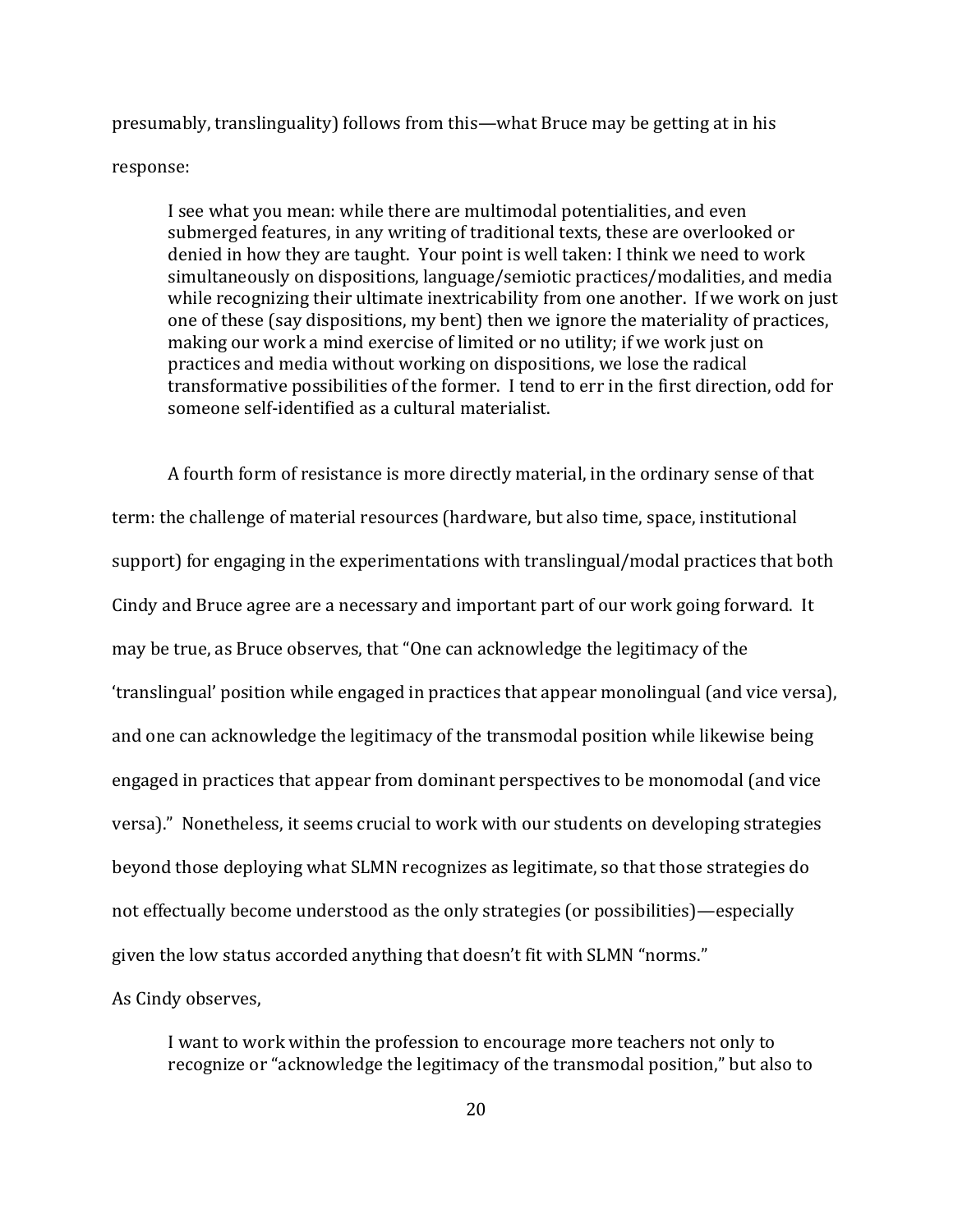presumably, translinguality) follows from this—what Bruce may be getting at in his response:

I see what you mean: while there are multimodal potentialities, and even submerged features, in any writing of traditional texts, these are overlooked or denied in how they are taught. Your point is well taken: I think we need to work simultaneously on dispositions, language/semiotic practices/modalities, and media while recognizing their ultimate inextricability from one another. If we work on just one of these (say dispositions, my bent) then we ignore the materiality of practices, making our work a mind exercise of limited or no utility; if we work just on practices and media without working on dispositions, we lose the radical transformative possibilities of the former. I tend to err in the first direction, odd for someone self-identified as a cultural materialist.

A fourth form of resistance is more directly material, in the ordinary sense of that term: the challenge of material resources (hardware, but also time, space, institutional support) for engaging in the experimentations with translingual/modal practices that both Cindy and Bruce agree are a necessary and important part of our work going forward. It may be true, as Bruce observes, that "One can acknowledge the legitimacy of the 'translingual' position while engaged in practices that appear monolingual (and vice versa), and one can acknowledge the legitimacy of the transmodal position while likewise being engaged in practices that appear from dominant perspectives to be monomodal (and vice versa)." Nonetheless, it seems crucial to work with our students on developing strategies beyond those deploying what SLMN recognizes as legitimate, so that those strategies do not effectually become understood as the only strategies (or possibilities)—especially given the low status accorded anything that doesn't fit with SLMN "norms." As Cindy observes,

I want to work within the profession to encourage more teachers not only to recognize or "acknowledge the legitimacy of the transmodal position," but also to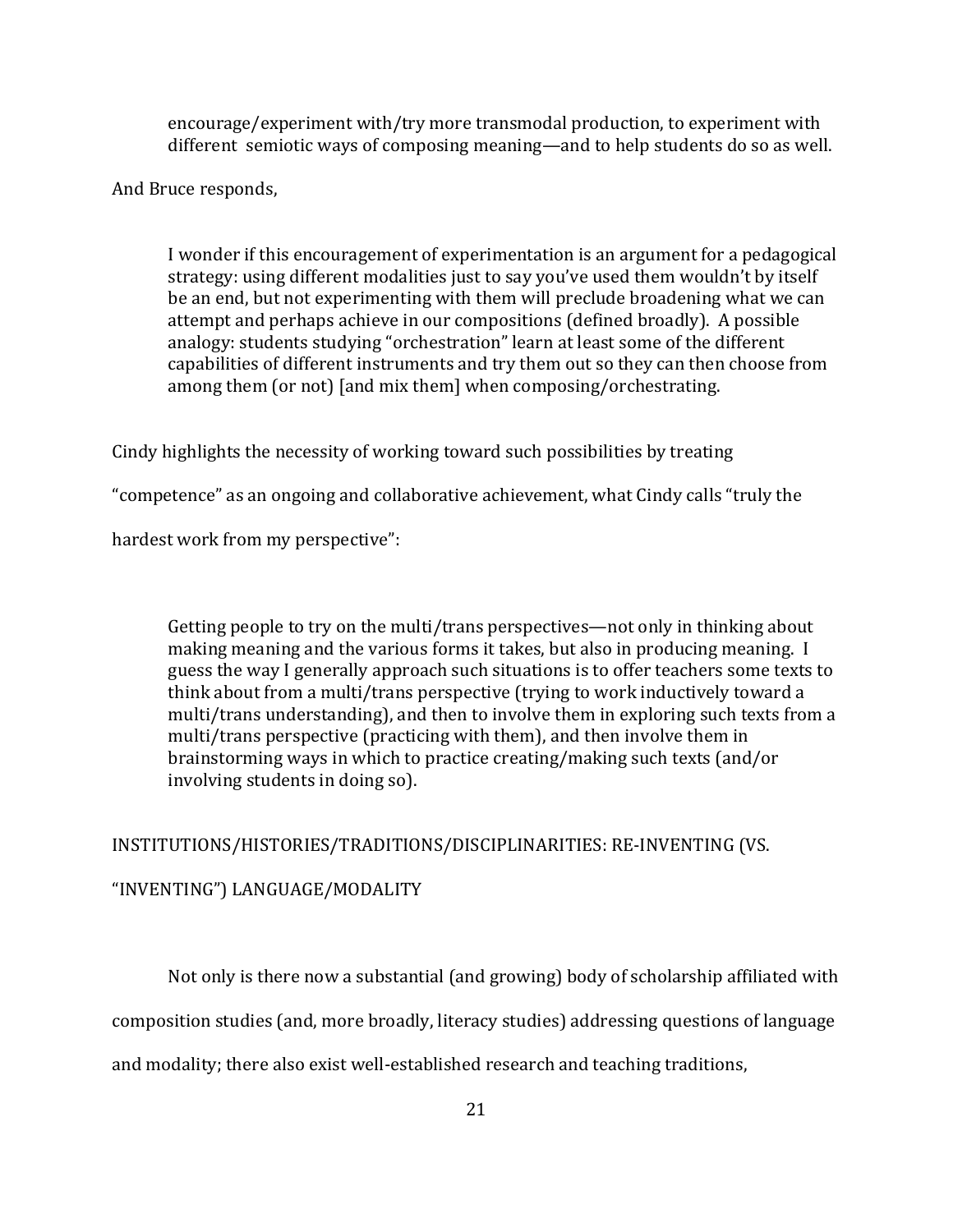encourage/experiment with/try more transmodal production, to experiment with different semiotic ways of composing meaning—and to help students do so as well.

And Bruce responds,

I wonder if this encouragement of experimentation is an argument for a pedagogical strategy: using different modalities just to say you've used them wouldn't by itself be an end, but not experimenting with them will preclude broadening what we can attempt and perhaps achieve in our compositions (defined broadly). A possible analogy: students studying "orchestration" learn at least some of the different capabilities of different instruments and try them out so they can then choose from among them (or not) [and mix them] when composing/orchestrating.

Cindy highlights the necessity of working toward such possibilities by treating

"competence" as an ongoing and collaborative achievement, what Cindy calls "truly the

hardest work from my perspective":

Getting people to try on the multi/trans perspectives—not only in thinking about making meaning and the various forms it takes, but also in producing meaning. I guess the way I generally approach such situations is to offer teachers some texts to think about from a multi/trans perspective (trying to work inductively toward a multi/trans understanding), and then to involve them in exploring such texts from a multi/trans perspective (practicing with them), and then involve them in brainstorming ways in which to practice creating/making such texts (and/or involving students in doing so).

INSTITUTIONS/HISTORIES/TRADITIONS/DISCIPLINARITIES: RE-INVENTING (VS. "INVENTING") LANGUAGE/MODALITY

Not only is there now a substantial (and growing) body of scholarship affiliated with

composition studies (and, more broadly, literacy studies) addressing questions of language

and modality; there also exist well-established research and teaching traditions,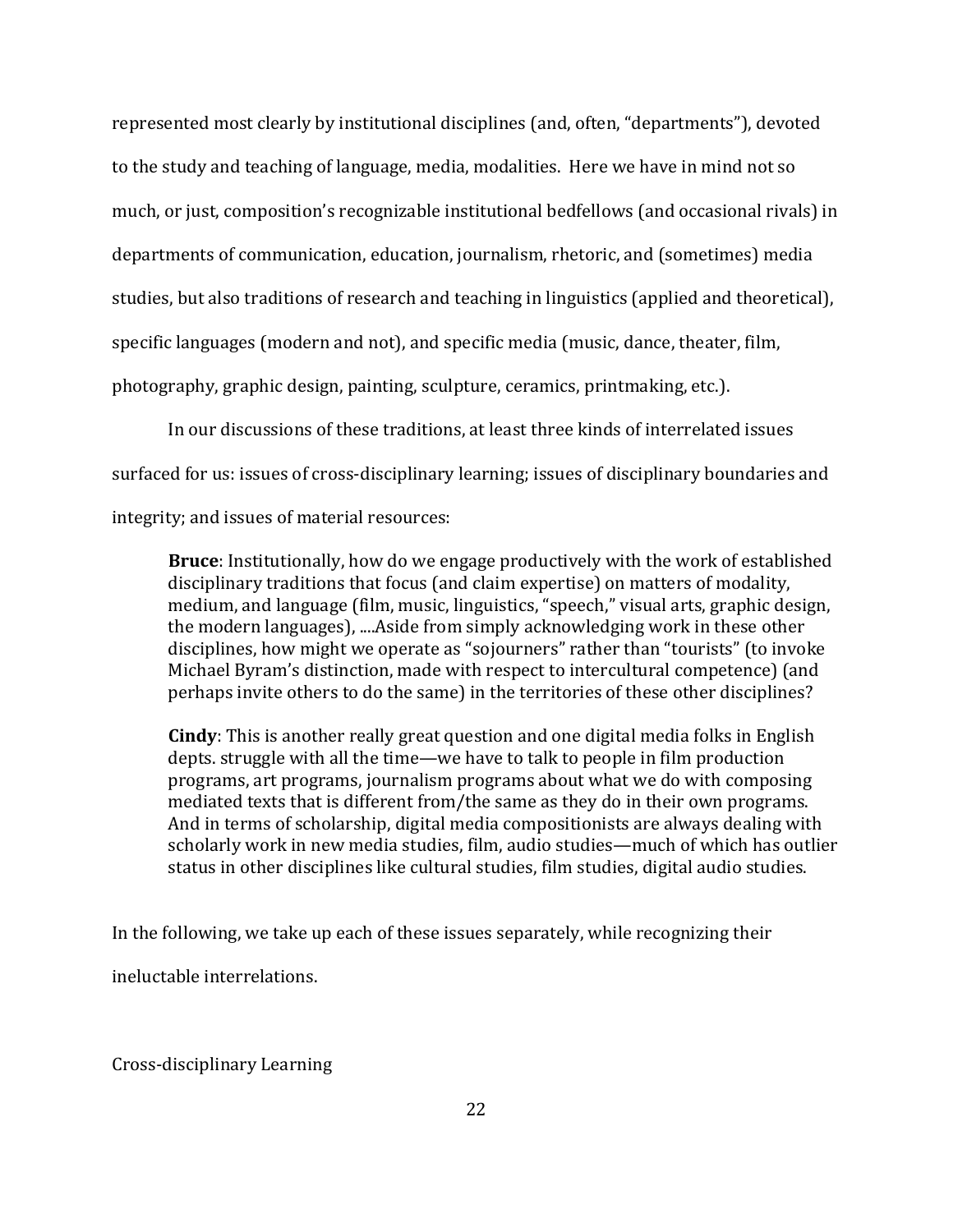represented most clearly by institutional disciplines (and, often, "departments"), devoted to the study and teaching of language, media, modalities. Here we have in mind not so much, or just, composition's recognizable institutional bedfellows (and occasional rivals) in departments of communication, education, journalism, rhetoric, and (sometimes) media studies, but also traditions of research and teaching in linguistics (applied and theoretical), specific languages (modern and not), and specific media (music, dance, theater, film, photography, graphic design, painting, sculpture, ceramics, printmaking, etc.).

In our discussions of these traditions, at least three kinds of interrelated issues

surfaced for us: issues of cross-disciplinary learning; issues of disciplinary boundaries and

integrity; and issues of material resources:

**Bruce**: Institutionally, how do we engage productively with the work of established disciplinary traditions that focus (and claim expertise) on matters of modality, medium, and language (film, music, linguistics, "speech," visual arts, graphic design, the modern languages), ....Aside from simply acknowledging work in these other disciplines, how might we operate as "sojourners" rather than "tourists" (to invoke Michael Byram's distinction, made with respect to intercultural competence) (and perhaps invite others to do the same) in the territories of these other disciplines?

**Cindy**: This is another really great question and one digital media folks in English depts. struggle with all the time—we have to talk to people in film production programs, art programs, journalism programs about what we do with composing mediated texts that is different from/the same as they do in their own programs. And in terms of scholarship, digital media compositionists are always dealing with scholarly work in new media studies, film, audio studies—much of which has outlier status in other disciplines like cultural studies, film studies, digital audio studies.

In the following, we take up each of these issues separately, while recognizing their

ineluctable interrelations.

Cross-disciplinary Learning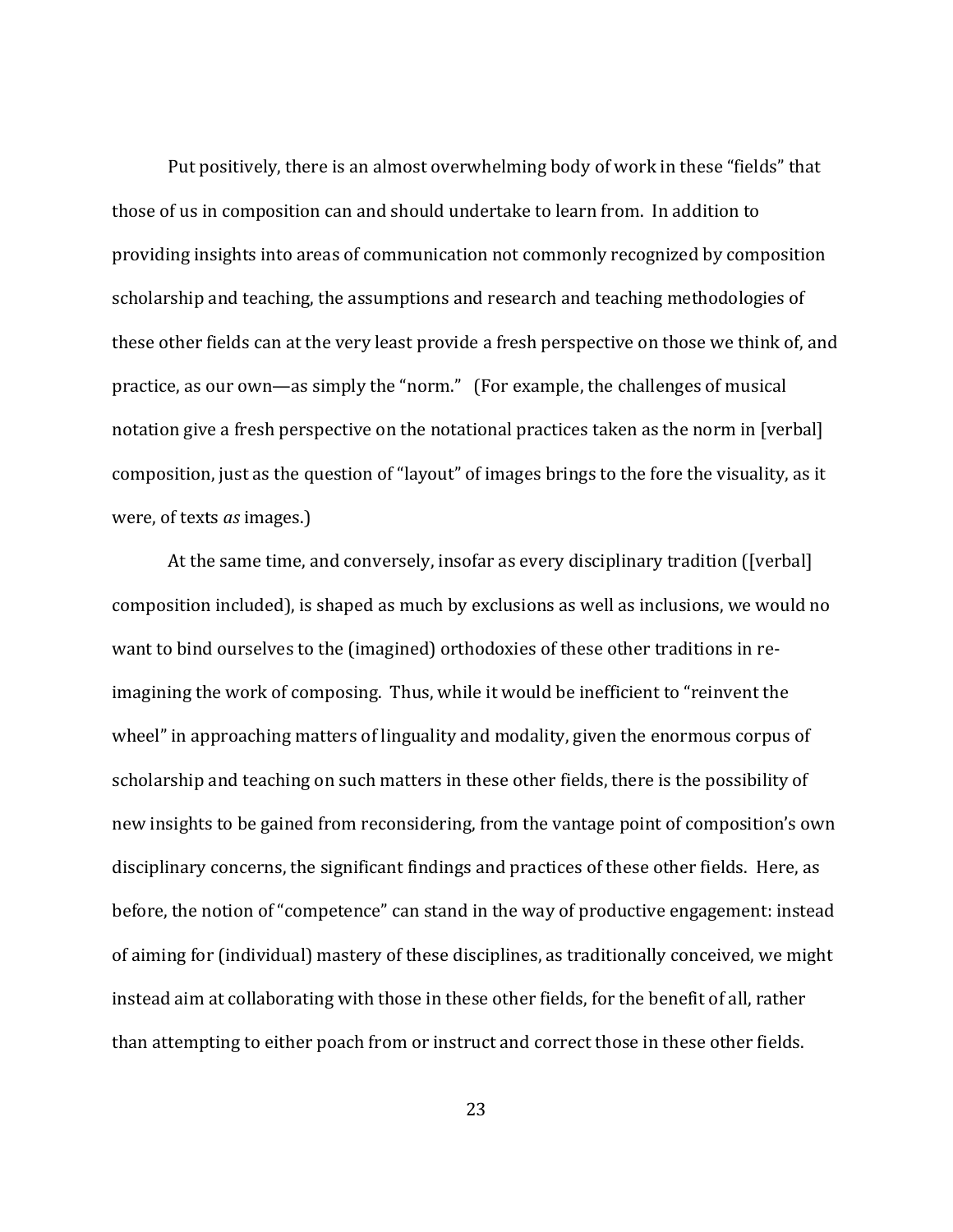Put positively, there is an almost overwhelming body of work in these "fields" that those of us in composition can and should undertake to learn from. In addition to providing insights into areas of communication not commonly recognized by composition scholarship and teaching, the assumptions and research and teaching methodologies of these other fields can at the very least provide a fresh perspective on those we think of, and practice, as our own—as simply the "norm." (For example, the challenges of musical notation give a fresh perspective on the notational practices taken as the norm in [verbal] composition, just as the question of "layout" of images brings to the fore the visuality, as it were, of texts *as* images.)

At the same time, and conversely, insofar as every disciplinary tradition ([verbal] composition included), is shaped as much by exclusions as well as inclusions, we would no want to bind ourselves to the (imagined) orthodoxies of these other traditions in reimagining the work of composing. Thus, while it would be inefficient to "reinvent the wheel" in approaching matters of linguality and modality, given the enormous corpus of scholarship and teaching on such matters in these other fields, there is the possibility of new insights to be gained from reconsidering, from the vantage point of composition's own disciplinary concerns, the significant findings and practices of these other fields. Here, as before, the notion of "competence" can stand in the way of productive engagement: instead of aiming for (individual) mastery of these disciplines, as traditionally conceived, we might instead aim at collaborating with those in these other fields, for the benefit of all, rather than attempting to either poach from or instruct and correct those in these other fields.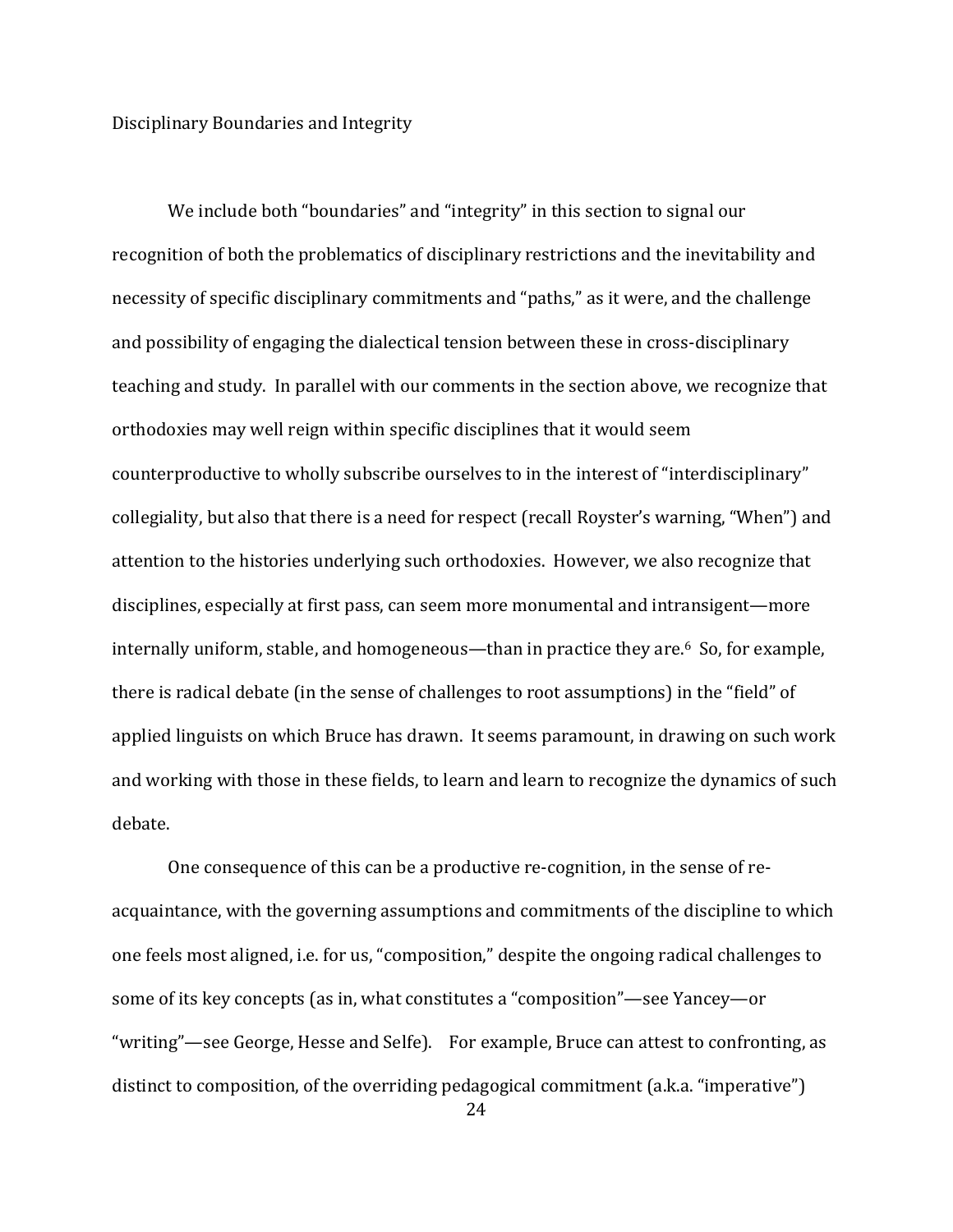Disciplinary Boundaries and Integrity

We include both "boundaries" and "integrity" in this section to signal our recognition of both the problematics of disciplinary restrictions and the inevitability and necessity of specific disciplinary commitments and "paths," as it were, and the challenge and possibility of engaging the dialectical tension between these in cross-disciplinary teaching and study. In parallel with our comments in the section above, we recognize that orthodoxies may well reign within specific disciplines that it would seem counterproductive to wholly subscribe ourselves to in the interest of "interdisciplinary" collegiality, but also that there is a need for respect (recall Royster's warning, "When") and attention to the histories underlying such orthodoxies. However, we also recognize that disciplines, especially at first pass, can seem more monumental and intransigent—more internally uniform, stable, and homogeneous—than in practice they are. $6$  So, for example, there is radical debate (in the sense of challenges to root assumptions) in the "field" of applied linguists on which Bruce has drawn. It seems paramount, in drawing on such work and working with those in these fields, to learn and learn to recognize the dynamics of such debate.

One consequence of this can be a productive re-cognition, in the sense of reacquaintance, with the governing assumptions and commitments of the discipline to which one feels most aligned, i.e. for us, "composition," despite the ongoing radical challenges to some of its key concepts (as in, what constitutes a "composition"—see Yancey—or "writing"—see George, Hesse and Selfe). For example, Bruce can attest to confronting, as distinct to composition, of the overriding pedagogical commitment (a.k.a. "imperative")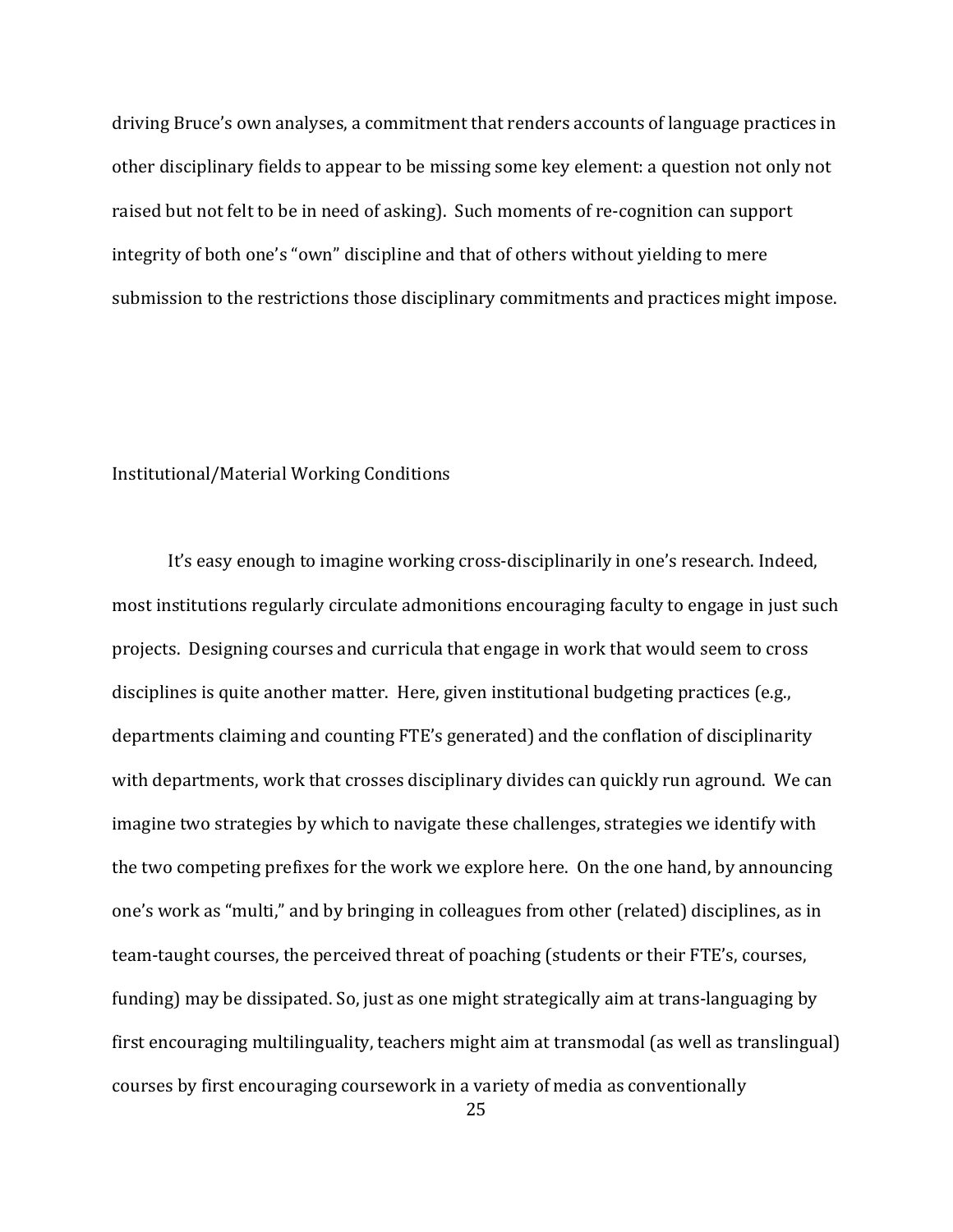driving Bruce's own analyses, a commitment that renders accounts of language practices in other disciplinary fields to appear to be missing some key element: a question not only not raised but not felt to be in need of asking). Such moments of re-cognition can support integrity of both one's "own" discipline and that of others without yielding to mere submission to the restrictions those disciplinary commitments and practices might impose.

#### Institutional/Material Working Conditions

It's easy enough to imagine working cross-disciplinarily in one's research. Indeed, most institutions regularly circulate admonitions encouraging faculty to engage in just such projects. Designing courses and curricula that engage in work that would seem to cross disciplines is quite another matter. Here, given institutional budgeting practices (e.g., departments claiming and counting FTE's generated) and the conflation of disciplinarity with departments, work that crosses disciplinary divides can quickly run aground. We can imagine two strategies by which to navigate these challenges, strategies we identify with the two competing prefixes for the work we explore here. On the one hand, by announcing one's work as "multi," and by bringing in colleagues from other (related) disciplines, as in team-taught courses, the perceived threat of poaching (students or their FTE's, courses, funding) may be dissipated. So, just as one might strategically aim at trans-languaging by first encouraging multilinguality, teachers might aim at transmodal (as well as translingual) courses by first encouraging coursework in a variety of media as conventionally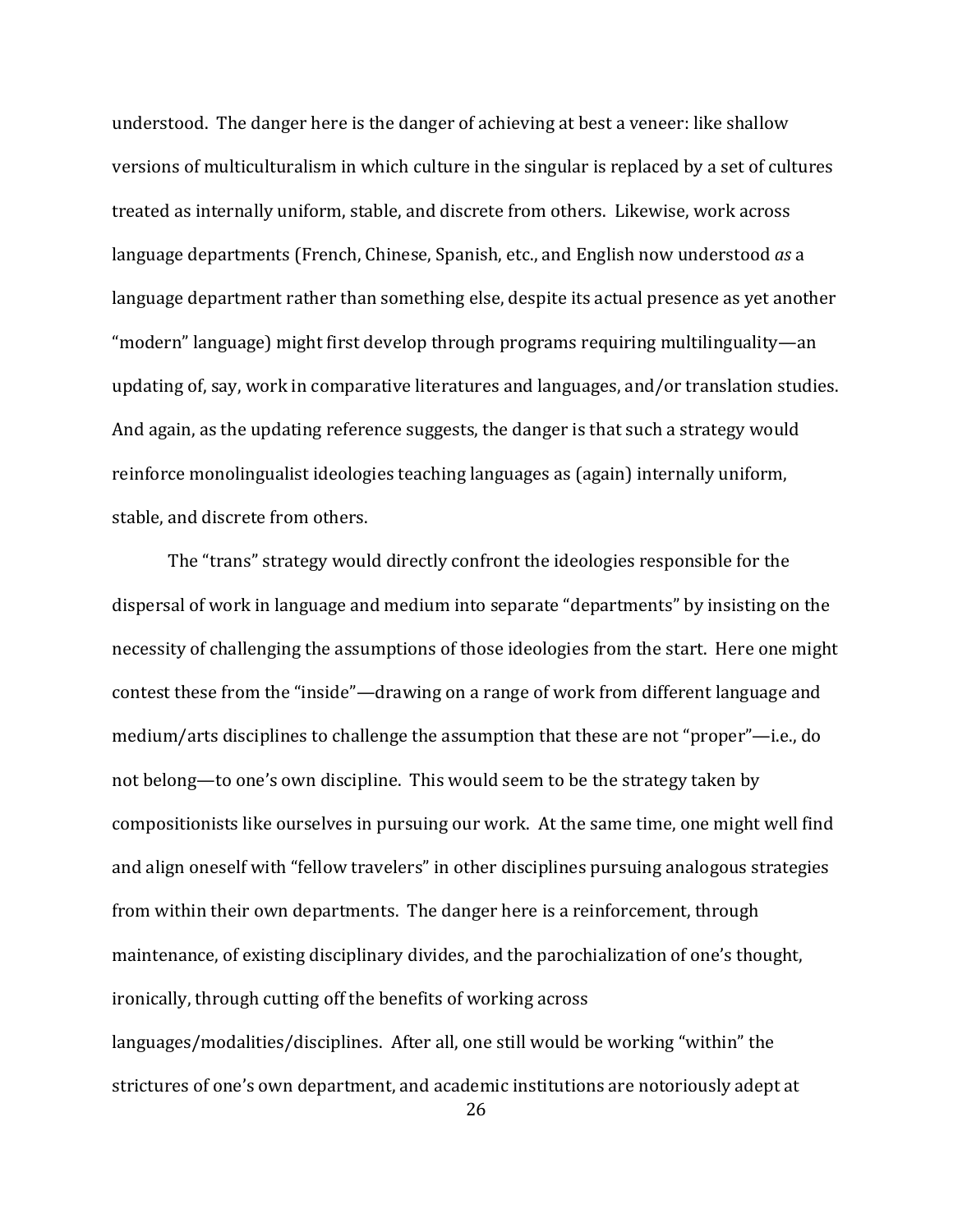understood. The danger here is the danger of achieving at best a veneer: like shallow versions of multiculturalism in which culture in the singular is replaced by a set of cultures treated as internally uniform, stable, and discrete from others. Likewise, work across language departments (French, Chinese, Spanish, etc., and English now understood *as* a language department rather than something else, despite its actual presence as yet another " modern" language) might first develop through programs requiring multilinguality—an updating of, say, work in comparative literatures and languages, and/or translation studies. And again, as the updating reference suggests, the danger is that such a strategy would reinforce monolingualist ideologies teaching languages as (again) internally uniform, stable, and discrete from others.

The "trans" strategy would directly confront the ideologies responsible for the dispersal of work in language and medium into separate "departments" by insisting on the necessity of challenging the assumptions of those ideologies from the start. Here one might contest these from the "inside"—drawing on a range of work from different language and medium/arts disciplines to challenge the assumption that these are not "proper"—i.e., do not belong—to one's own discipline. This would seem to be the strategy taken by compositionists like ourselves in pursuing our work. At the same time, one might well find and align oneself with "fellow travelers" in other disciplines pursuing analogous strategies from within their own departments. The danger here is a reinforcement, through maintenance, of existing disciplinary divides, and the parochialization of one's thought, ironically, through cutting off the benefits of working across languages/modalities/disciplines. After all, one still would be working "within" the strictures of one's own department, and academic institutions are notoriously adept at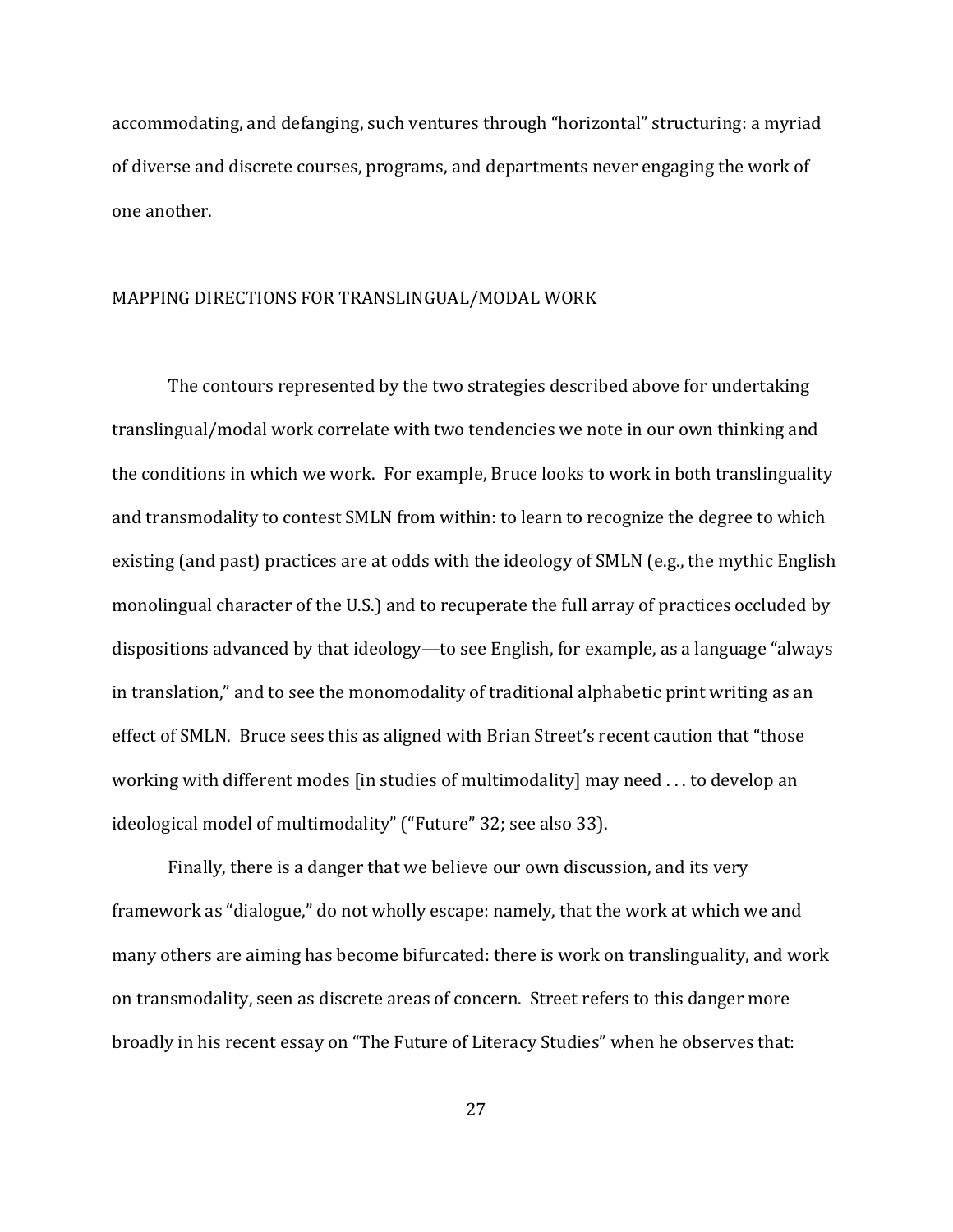accommodating, and defanging, such ventures through "horizontal" structuring: a myriad of diverse and discrete courses, programs, and departments never engaging the work of one another.

#### MAPPING DIRECTIONS FOR TRANSLINGUAL/MODAL WORK

The contours represented by the two strategies described above for undertaking translingual/modal work correlate with two tendencies we note in our own thinking and the conditions in which we work. For example, Bruce looks to work in both translinguality and transmodality to contest SMLN from within: to learn to recognize the degree to which existing (and past) practices are at odds with the ideology of SMLN (e.g., the mythic English monolingual character of the U.S.) and to recuperate the full array of practices occluded by dispositions advanced by that ideology—to see English, for example, as a language "always" in translation," and to see the monomodality of traditional alphabetic print writing as an effect of SMLN. Bruce sees this as aligned with Brian Street's recent caution that "those working with different modes [in studies of multimodality] may need ... to develop an ideological model of multimodality" ("Future" 32; see also 33).

Finally, there is a danger that we believe our own discussion, and its very framework as "dialogue," do not wholly escape: namely, that the work at which we and many others are aiming has become bifurcated: there is work on translinguality, and work on transmodality, seen as discrete areas of concern. Street refers to this danger more broadly in his recent essay on "The Future of Literacy Studies" when he observes that: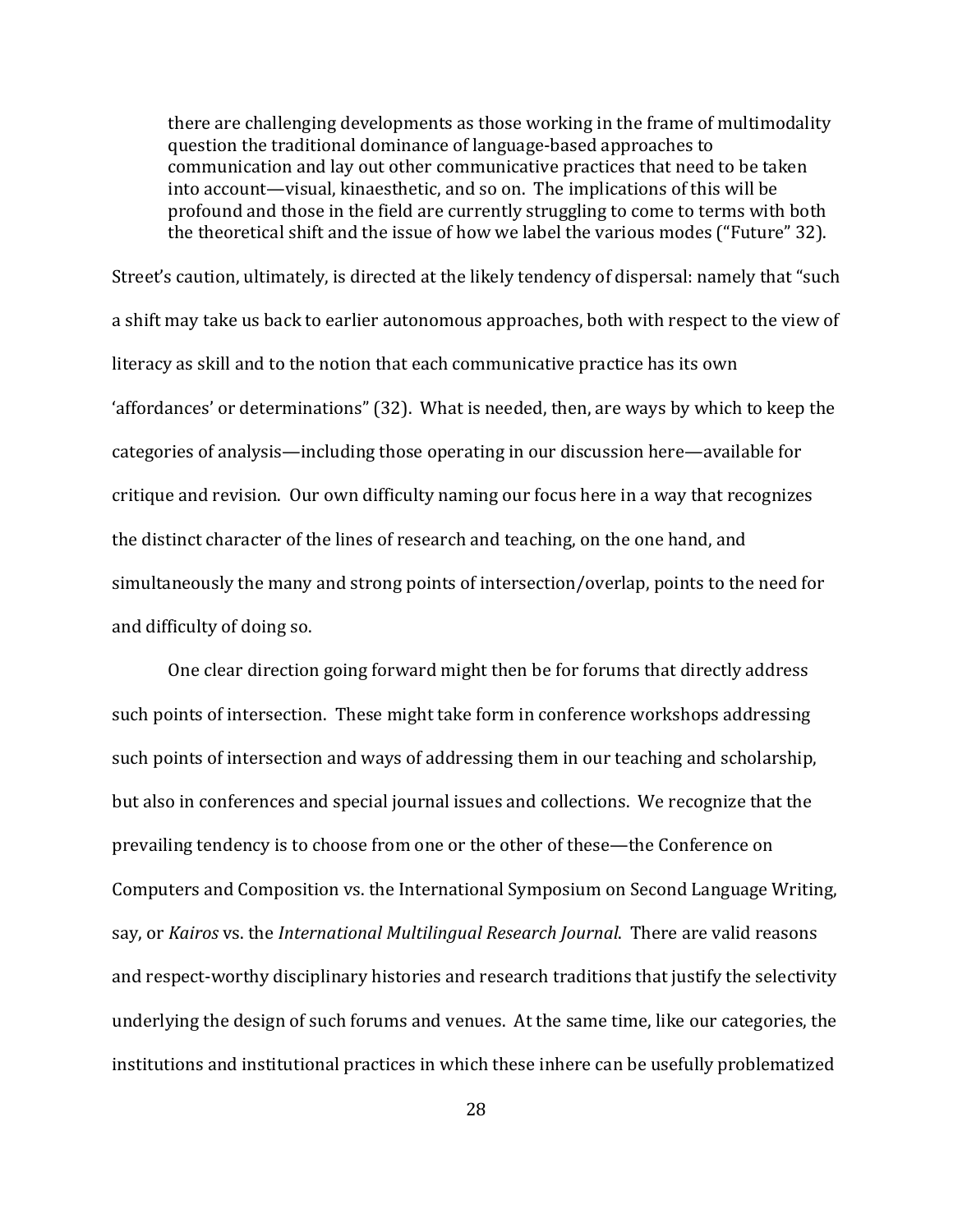there are challenging developments as those working in the frame of multimodality question the traditional dominance of language-based approaches to communication and lay out other communicative practices that need to be taken into account—visual, kinaesthetic, and so on. The implications of this will be profound and those in the field are currently struggling to come to terms with both the theoretical shift and the issue of how we label the various modes ("Future" 32).

Street's caution, ultimately, is directed at the likely tendency of dispersal: namely that "such" a shift may take us back to earlier autonomous approaches, both with respect to the view of literacy as skill and to the notion that each communicative practice has its own 'affordances' or determinations" (32). What is needed, then, are ways by which to keep the categories of analysis—including those operating in our discussion here—available for critique and revision. Our own difficulty naming our focus here in a way that recognizes the distinct character of the lines of research and teaching, on the one hand, and simultaneously the many and strong points of intersection/overlap, points to the need for and difficulty of doing so.

One clear direction going forward might then be for forums that directly address such points of intersection. These might take form in conference workshops addressing such points of intersection and ways of addressing them in our teaching and scholarship, but also in conferences and special journal issues and collections. We recognize that the prevailing tendency is to choose from one or the other of these—the Conference on Computers and Composition vs. the International Symposium on Second Language Writing, say, or *Kairos* vs. the *International Multilingual Research Journal*. There are valid reasons and respect-worthy disciplinary histories and research traditions that justify the selectivity underlying the design of such forums and venues. At the same time, like our categories, the institutions and institutional practices in which these inhere can be usefully problematized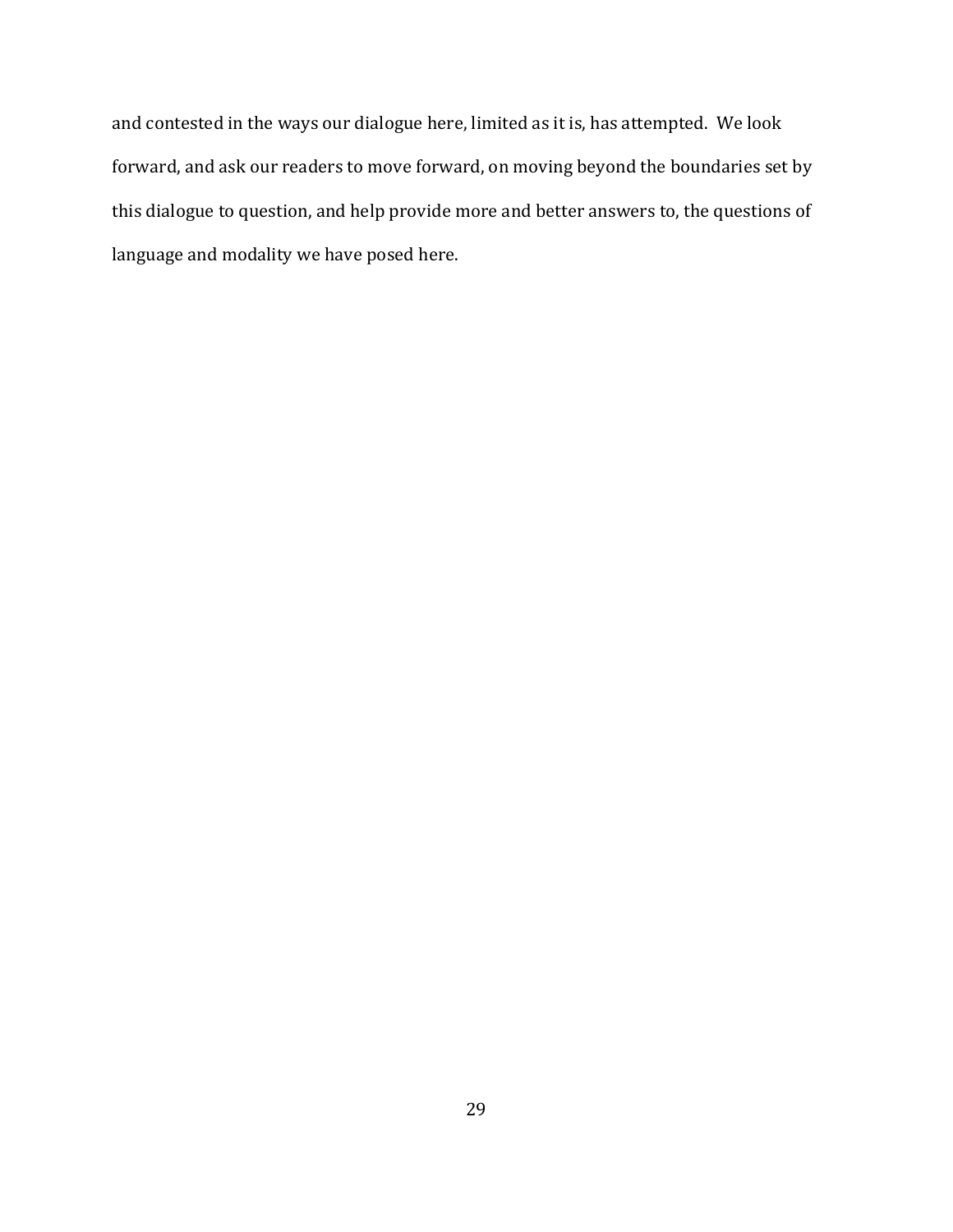and contested in the ways our dialogue here, limited as it is, has attempted. We look forward, and ask our readers to move forward, on moving beyond the boundaries set by this dialogue to question, and help provide more and better answers to, the questions of language and modality we have posed here.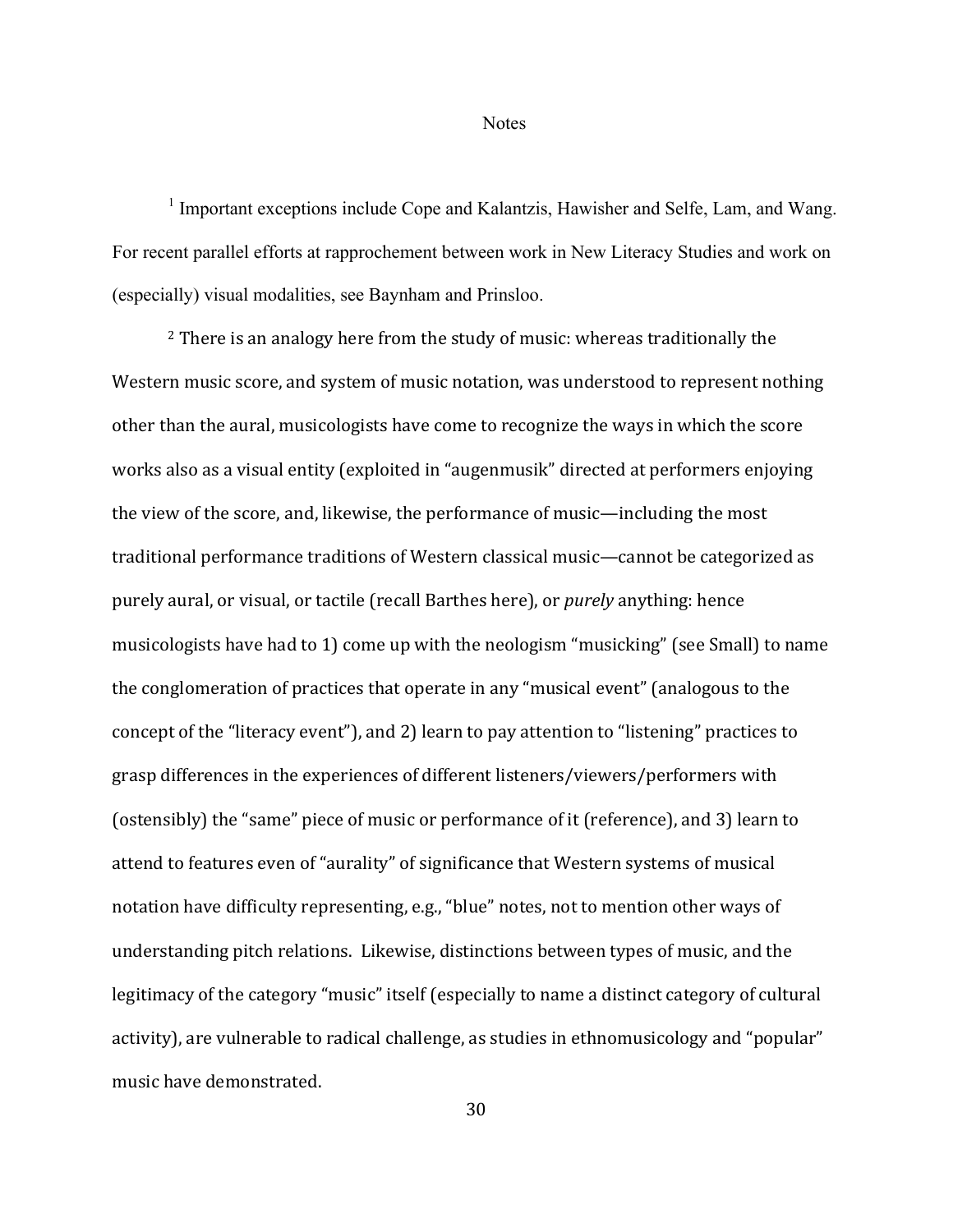**Notes** 

<sup>1</sup> Important exceptions include Cope and Kalantzis, Hawisher and Selfe, Lam, and Wang. For recent parallel efforts at rapprochement between work in New Literacy Studies and work on (especially) visual modalities, see Baynham and Prinsloo.

 $2$  There is an analogy here from the study of music: whereas traditionally the Western music score, and system of music notation, was understood to represent nothing other than the aural, musicologists have come to recognize the ways in which the score works also as a visual entity (exploited in "augenmusik" directed at performers enjoying the view of the score, and, likewise, the performance of music—including the most traditional performance traditions of Western classical music—cannot be categorized as purely aural, or visual, or tactile (recall Barthes here), or *purely* anything: hence musicologists have had to 1) come up with the neologism "musicking" (see Small) to name the conglomeration of practices that operate in any "musical event" (analogous to the concept of the "literacy event"), and 2) learn to pay attention to "listening" practices to grasp differences in the experiences of different listeners/viewers/performers with (ostensibly) the "same" piece of music or performance of it (reference), and 3) learn to attend to features even of "aurality" of significance that Western systems of musical notation have difficulty representing, e.g., "blue" notes, not to mention other ways of understanding pitch relations. Likewise, distinctions between types of music, and the legitimacy of the category "music" itself (especially to name a distinct category of cultural activity), are vulnerable to radical challenge, as studies in ethnomusicology and "popular" music have demonstrated.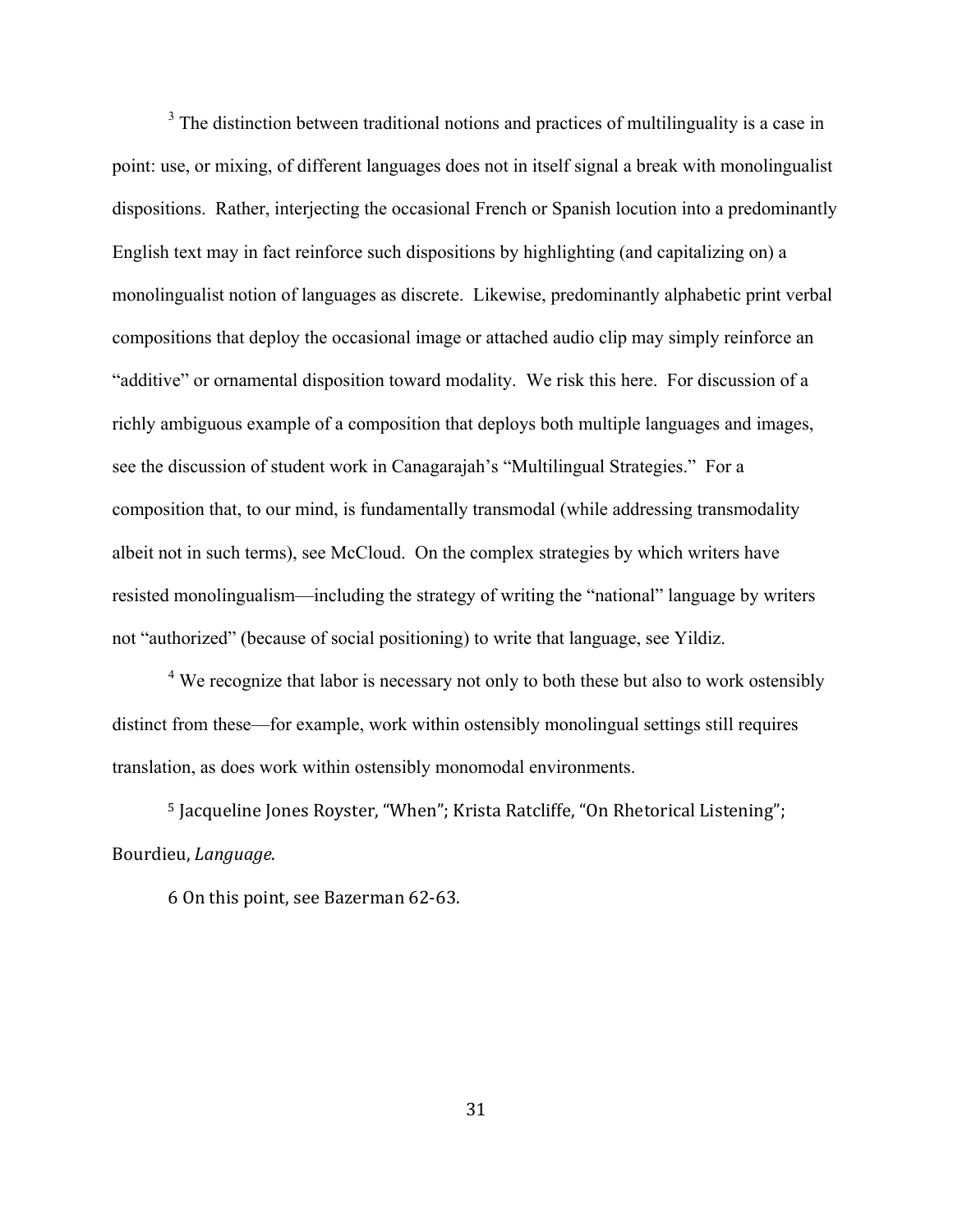$3$  The distinction between traditional notions and practices of multilinguality is a case in point: use, or mixing, of different languages does not in itself signal a break with monolingualist dispositions. Rather, interjecting the occasional French or Spanish locution into a predominantly English text may in fact reinforce such dispositions by highlighting (and capitalizing on) a monolingualist notion of languages as discrete. Likewise, predominantly alphabetic print verbal compositions that deploy the occasional image or attached audio clip may simply reinforce an "additive" or ornamental disposition toward modality. We risk this here. For discussion of a richly ambiguous example of a composition that deploys both multiple languages and images, see the discussion of student work in Canagarajah's "Multilingual Strategies." For a composition that, to our mind, is fundamentally transmodal (while addressing transmodality albeit not in such terms), see McCloud. On the complex strategies by which writers have resisted monolingualism—including the strategy of writing the "national" language by writers not "authorized" (because of social positioning) to write that language, see Yildiz.

<sup>4</sup> We recognize that labor is necessary not only to both these but also to work ostensibly distinct from these—for example, work within ostensibly monolingual settings still requires translation, as does work within ostensibly monomodal environments.

<sup>5</sup> Jacqueline Jones Royster, "When"; Krista Ratcliffe, "On Rhetorical Listening"; Bourdieu, *Language*.

6 On this point, see Bazerman 62-63.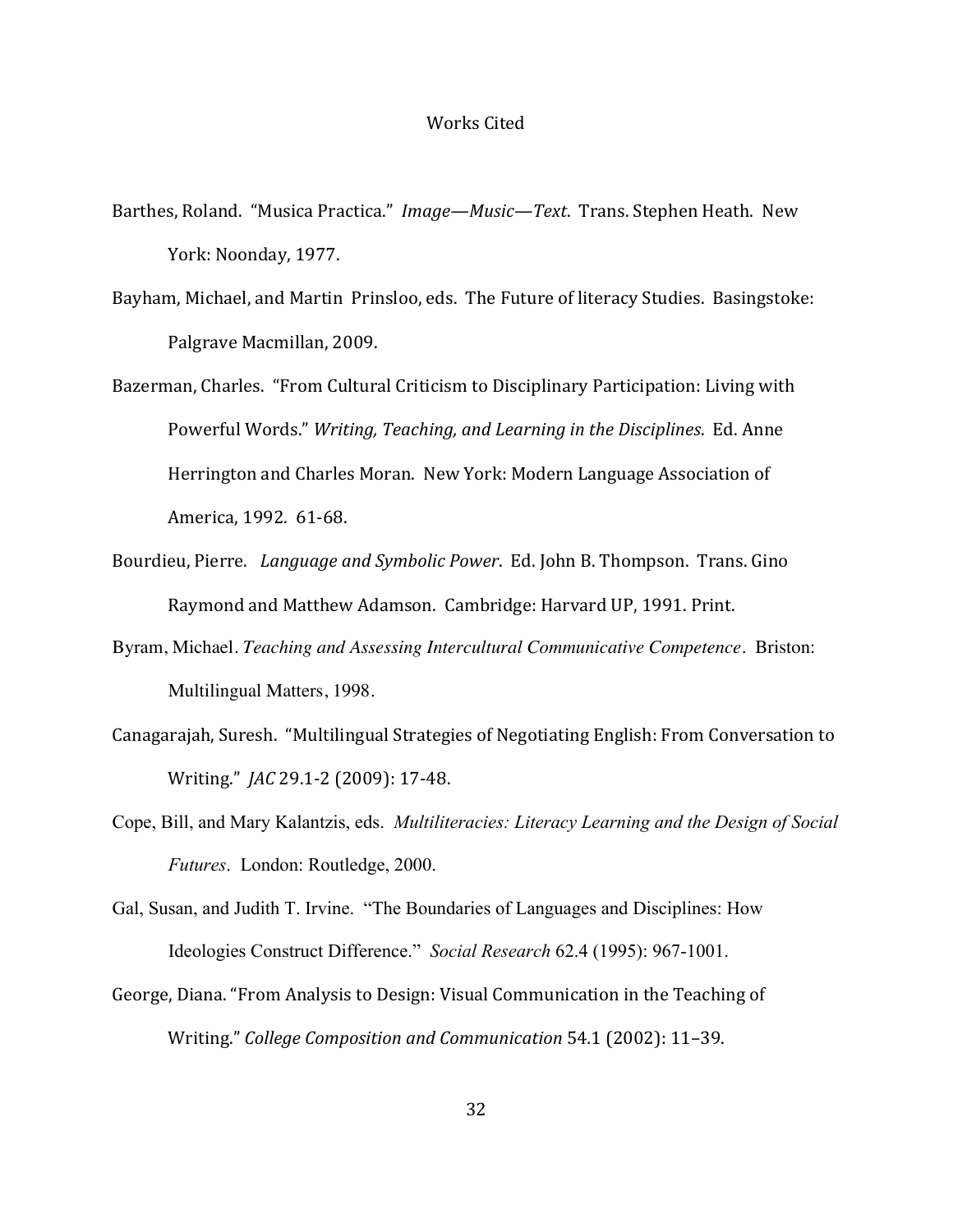#### Works Cited

- Barthes, Roland. "Musica Practica." *Image—Music—Text*. Trans. Stephen Heath. New York: Noonday, 1977.
- Bayham, Michael, and Martin Prinsloo, eds. The Future of literacy Studies. Basingstoke: Palgrave Macmillan, 2009.
- Bazerman, Charles. "From Cultural Criticism to Disciplinary Participation: Living with Powerful Words." *Writing, Teaching, and Learning in the Disciplines. Ed. Anne* Herrington and Charles Moran. New York: Modern Language Association of America, 1992. 61-68.
- Bourdieu, Pierre. *Language and Symbolic Power*. Ed. John B. Thompson. Trans. Gino Raymond and Matthew Adamson. Cambridge: Harvard UP, 1991. Print.
- Byram, Michael. *Teaching and Assessing Intercultural Communicative Competence*. Briston: Multilingual Matters, 1998.
- Canagarajah, Suresh. "Multilingual Strategies of Negotiating English: From Conversation to Writing." *JAC* 29.1-2 (2009): 17-48.
- Cope, Bill, and Mary Kalantzis, eds. *Multiliteracies: Literacy Learning and the Design of Social Futures*. London: Routledge, 2000.
- Gal, Susan, and Judith T. Irvine. "The Boundaries of Languages and Disciplines: How Ideologies Construct Difference." *Social Research* 62.4 (1995): 967-1001.
- George, Diana. "From Analysis to Design: Visual Communication in the Teaching of Writing." *College Composition and Communication* 54.1 (2002): 11–39.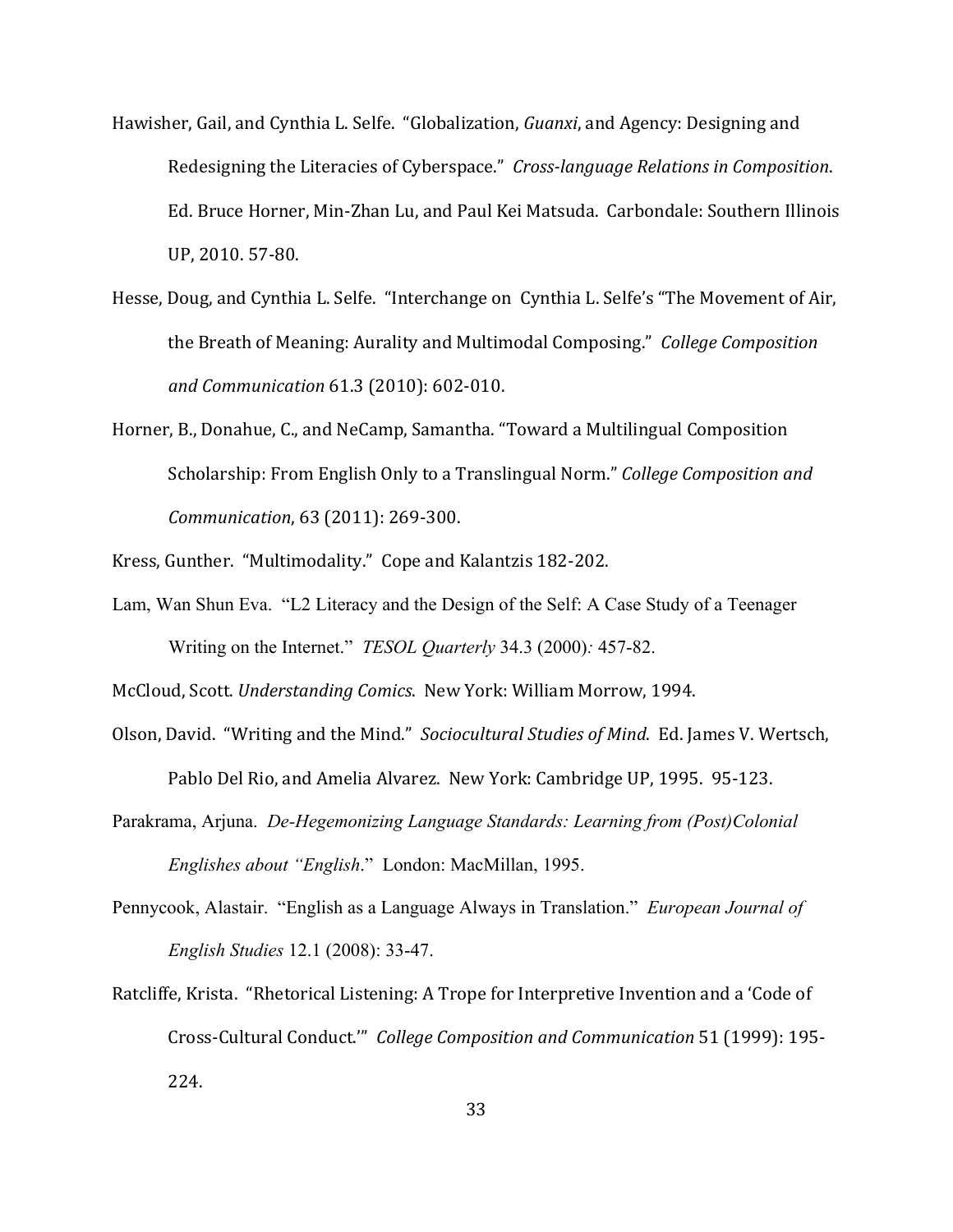- Hawisher, Gail, and Cynthia L. Selfe. "Globalization, *Guanxi*, and Agency: Designing and Redesigning the Literacies of Cyberspace." *Cross-language Relations in Composition*. Ed. Bruce Horner, Min-Zhan Lu, and Paul Kei Matsuda. Carbondale: Southern Illinois UP, 2010. 57-80.
- Hesse, Doug, and Cynthia L. Selfe. "Interchange on Cynthia L. Selfe's "The Movement of Air, the Breath of Meaning: Aurality and Multimodal Composing." *College Composition and Communication* 61.3 (2010): 602-010.
- Horner, B., Donahue, C., and NeCamp, Samantha. "Toward a Multilingual Composition Scholarship: From English Only to a Translingual Norm." *College Composition and Communication, 63 (2011): 269-300.*
- Kress, Gunther. "Multimodality." Cope and Kalantzis 182-202.
- Lam, Wan Shun Eva. "L2 Literacy and the Design of the Self: A Case Study of a Teenager Writing on the Internet." *TESOL Quarterly* 34.3 (2000)*:* 457-82.

McCloud, Scott. *Understanding Comics*. New York: William Morrow, 1994.

- Olson, David. "Writing and the Mind." Sociocultural Studies of Mind. Ed. James V. Wertsch, Pablo Del Rio, and Amelia Alvarez. New York: Cambridge UP, 1995. 95-123.
- Parakrama, Arjuna. *De-Hegemonizing Language Standards: Learning from (Post)Colonial Englishes about "English*." London: MacMillan, 1995.
- Pennycook, Alastair. "English as a Language Always in Translation." *European Journal of English Studies* 12.1 (2008): 33-47.
- Ratcliffe, Krista. "Rhetorical Listening: A Trope for Interpretive Invention and a 'Code of Cross-Cultural Conduct."" College Composition and Communication 51 (1999): 195-224.